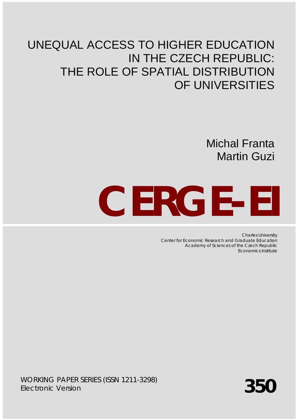# UNEQUAL ACCESS TO HIGHER EDUCATION IN THE CZECH REPUBLIC: THE ROLE OF SPATIAL DISTRIBUTION OF UNIVERSITIES

Michal Franta Martin Guzi

# **CERGE-EI**

Charles University Center for Economic Research and Graduate Education Academy of Sciences of the Czech Republic Economics Institute

WORKING PAPER SERIES (ISSN 1211-3298) *Electronic Version*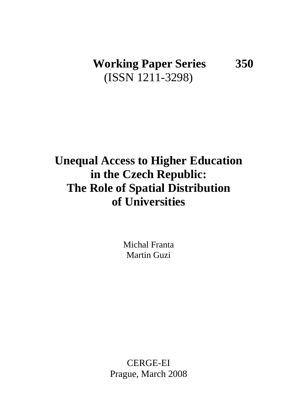# **Working Paper Series 350** (ISSN 1211-3298)

# **Unequal Access to Higher Education in the Czech Republic: The Role of Spatial Distribution of Universities**

Michal Franta Martin Guzi

CERGE-EI Prague, March 2008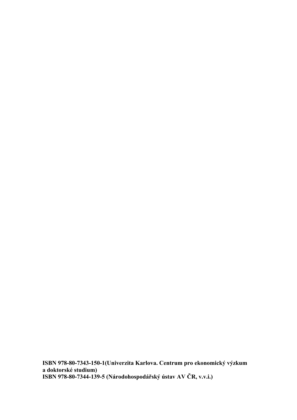**ISBN 978-80-7343-150-1(Univerzita Karlova. Centrum pro ekonomický výzkum a doktorské studium) ISBN 978-80-7344-139-5 (Národohospodářský ústav AV ČR, v.v.i.)**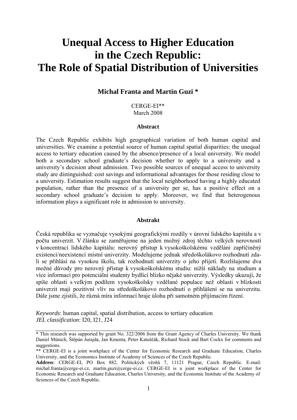# **Unequal Access to Higher Education in the Czech Republic: The Role of Spatial Distribution of Universities**

## **Michal Franta and Martin Guzi \***

CERGE-EI\*\* March 2008

#### **Abstract**

The Czech Republic exhibits high geographical variation of both human capital and universities. We examine a potential source of human capital spatial disparities: the unequal access to tertiary education caused by the absence/presence of a local university. We model both a secondary school graduate's decision whether to apply to a university and a university's decision about admission. Two possible sources of unequal access to university study are distinguished: cost savings and informational advantages for those residing close to a university. Estimation results suggest that the local neighborhood having a highly educated population, rather than the presence of a university per se, has a positive effect on a secondary school graduate's decision to apply. Moreover, we find that heterogenous information plays a significant role in admission to university.

#### **Abstrakt**

Česká republika se vyznačuje vysokými geografickými rozdíly v úrovni lidského kapitálu a v počtu univerzit. V článku se zaměřujeme na jeden možný zdroj těchto velkých nerovností v koncentraci lidského kapitálu: nerovný přístup k vysokoškolskému vzdělání zapříčiněný existencí/neexistencí místní univerzity. Modelujeme jednak středoškolákovo rozhodnutí zdali se přihlásí na vysokou školu, tak rozhodnutí univerzity o jeho přijetí. Rozlišujeme dva možné důvody pro nerovný přístup k vysokoškolskému studiu: nižší náklady na studium a více informací pro potenciální studenty bydlící blízko nějaké univerzity. Výsledky ukazují, že spíše oblasti s velkým podílem vysokoškolsky vzdělané populace než oblasti v blízkosti univerzit mají pozitivní vliv na středoškolákovo rozhodnutí o přihlášení se na univerzitu. Dále jsme zjistili, že různá míra informací hraje úlohu při samotném přijímacím řízení.

*Keywords*: human capital, spatial distribution, access to tertiary education *JEL classification*: I20, I21, J24

<sup>\*</sup> This research was supported by grant No. 322/2006 from the Grant Agency of Charles University. We thank Daniel Münich, Štěpán Jurajda, Jan Kmenta, Peter Katuščák, Richard Stock and Bart Cockx for comments and suggestions.

<sup>\*\*</sup> CERGE-EI is a joint workplace of the Center for Economic Research and Graduate Education, Charles University, and the Economics Institute of Academy of Sciences of the Czech Republic.

**Address**: CERGE-EI, PO Box 882, Politických vězňů 7, 11121 Prague, Czech Republic. E-mail: michal.franta@cerge-ei.cz, martin.guzi@cerge-ei.cz. CERGE-EI is a joint workplace of the Center for Economic Research and Graduate Education, Charles University, and the Economic Institute of the Academy of Sciences of the Czech Republic.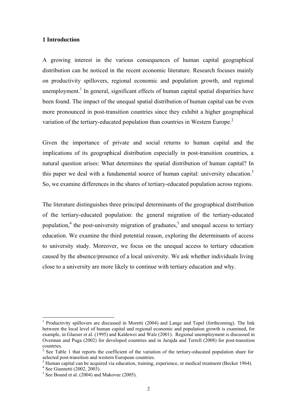#### **1 Introduction**

A growing interest in the various consequences of human capital geographical distribution can be noticed in the recent economic literature. Research focuses mainly on productivity spillovers, regional economic and population growth, and regional unemployment.<sup>1</sup> In general, significant effects of human capital spatial disparities have been found. The impact of the unequal spatial distribution of human capital can be even more pronounced in post-transition countries since they exhibit a higher geographical variation of the tertiary-educated population than countries in Western Europe.<sup>2</sup>

Given the importance of private and social returns to human capital and the implications of its geographical distribution especially in post-transition countries, a natural question arises: What determines the spatial distribution of human capital? In this paper we deal with a fundamental source of human capital: university education.<sup>3</sup> So, we examine differences in the shares of tertiary-educated population across regions.

The literature distinguishes three principal determinants of the geographical distribution of the tertiary-educated population: the general migration of the tertiary-educated population,<sup>4</sup> the post-university migration of graduates,<sup>5</sup> and unequal access to tertiary education. We examine the third potential reason, exploring the determinants of access to university study. Moreover, we focus on the unequal access to tertiary education caused by the absence/presence of a local university. We ask whether individuals living close to a university are more likely to continue with tertiary education and why.

<sup>&</sup>lt;sup>1</sup> Productivity spillovers are discussed in Moretti (2004) and Lange and Topel (forthcoming). The link between the local level of human capital and regional economic and population growth is examined, for example, in Glaeser et al. (1995) and Kaldewei and Walz (2001). Regional unemployment is discussed in Overman and Puga (2002) for developed countries and in Jurajda and Terrell (2008) for post-transition countries.

<sup>&</sup>lt;sup>2</sup> See Table 1 that reports the coefficient of the variation of the tertiary-educated population share for selected post-transition and western European countries.

<sup>&</sup>lt;sup>3</sup> Human capital can be acquired via education, training, experience, or medical treatment (Becker 1964).<br><sup>4</sup> See Gionnetti (2002, 2003).

 $4$  See Giannetti (2002, 2003).

<sup>5</sup> See Bound et al. (2004) and Makovec (2005).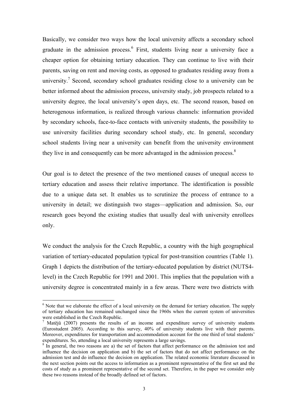Basically, we consider two ways how the local university affects a secondary school graduate in the admission process.<sup>6</sup> First, students living near a university face a cheaper option for obtaining tertiary education. They can continue to live with their parents, saving on rent and moving costs, as opposed to graduates residing away from a university.<sup>7</sup> Second, secondary school graduates residing close to a university can be better informed about the admission process, university study, job prospects related to a university degree, the local university's open days, etc. The second reason, based on heterogenous information, is realized through various channels: information provided by secondary schools, face-to-face contacts with university students, the possibility to use university facilities during secondary school study, etc. In general, secondary school students living near a university can benefit from the university environment they live in and consequently can be more advantaged in the admission process.<sup>8</sup>

Our goal is to detect the presence of the two mentioned causes of unequal access to tertiary education and assess their relative importance. The identification is possible due to a unique data set. It enables us to scrutinize the process of entrance to a university in detail; we distinguish two stages—application and admission. So, our research goes beyond the existing studies that usually deal with university enrollees only.

We conduct the analysis for the Czech Republic, a country with the high geographical variation of tertiary-educated population typical for post-transition countries (Table 1). Graph 1 depicts the distribution of the tertiary-educated population by district (NUTS4 level) in the Czech Republic for 1991 and 2001. This implies that the population with a university degree is concentrated mainly in a few areas. There were two districts with

 $<sup>6</sup>$  Note that we elaborate the effect of a local university on the demand for tertiary education. The supply</sup> of tertiary education has remained unchanged since the 1960s when the current system of universities were established in the Czech Republic.<br><sup>7</sup> Matějů (2007) presents the results of an income and expenditure survey of university students

<sup>(</sup>Eurostudent 2005). According to this survey, 40% of university students live with their parents. Moreover, expenditures for transportation and accommodation account for the one third of total students' expenditures. So, attending a local university represents a large savings.

 $8\text{ In general, the two reasons are a) the set of factors that affect performance on the admission test and$ influence the decision on application and b) the set of factors that do not affect performance on the admission test and do influence the decision on application. The related economic literature discussed in the next section points out the access to information as a prominent representative of the first set and the costs of study as a prominent representative of the second set. Therefore, in the paper we consider only these two reasons instead of the broadly defined set of factors.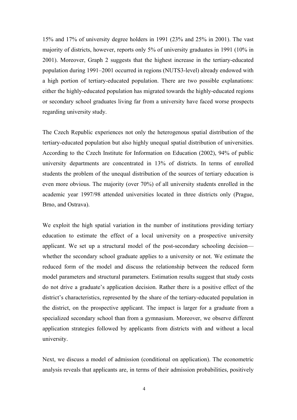15% and 17% of university degree holders in 1991 (23% and 25% in 2001). The vast majority of districts, however, reports only 5% of university graduates in 1991 (10% in 2001). Moreover, Graph 2 suggests that the highest increase in the tertiary-educated population during 1991–2001 occurred in regions (NUTS3-level) already endowed with a high portion of tertiary-educated population. There are two possible explanations: either the highly-educated population has migrated towards the highly-educated regions or secondary school graduates living far from a university have faced worse prospects regarding university study.

The Czech Republic experiences not only the heterogenous spatial distribution of the tertiary-educated population but also highly unequal spatial distribution of universities. According to the Czech Institute for Information on Education (2002), 94% of public university departments are concentrated in 13% of districts. In terms of enrolled students the problem of the unequal distribution of the sources of tertiary education is even more obvious. The majority (over 70%) of all university students enrolled in the academic year 1997/98 attended universities located in three districts only (Prague, Brno, and Ostrava).

We exploit the high spatial variation in the number of institutions providing tertiary education to estimate the effect of a local university on a prospective university applicant. We set up a structural model of the post-secondary schooling decision whether the secondary school graduate applies to a university or not. We estimate the reduced form of the model and discuss the relationship between the reduced form model parameters and structural parameters. Estimation results suggest that study costs do not drive a graduate's application decision. Rather there is a positive effect of the district's characteristics, represented by the share of the tertiary-educated population in the district, on the prospective applicant. The impact is larger for a graduate from a specialized secondary school than from a gymnasium. Moreover, we observe different application strategies followed by applicants from districts with and without a local university.

Next, we discuss a model of admission (conditional on application). The econometric analysis reveals that applicants are, in terms of their admission probabilities, positively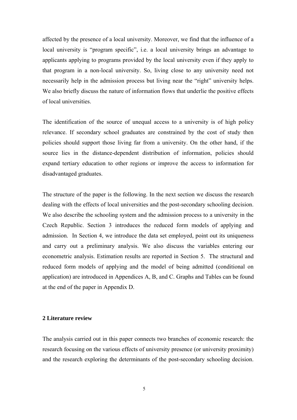affected by the presence of a local university. Moreover, we find that the influence of a local university is "program specific", i.e. a local university brings an advantage to applicants applying to programs provided by the local university even if they apply to that program in a non-local university. So, living close to any university need not necessarily help in the admission process but living near the "right" university helps. We also briefly discuss the nature of information flows that underlie the positive effects of local universities.

The identification of the source of unequal access to a university is of high policy relevance. If secondary school graduates are constrained by the cost of study then policies should support those living far from a university. On the other hand, if the source lies in the distance-dependent distribution of information, policies should expand tertiary education to other regions or improve the access to information for disadvantaged graduates.

The structure of the paper is the following. In the next section we discuss the research dealing with the effects of local universities and the post-secondary schooling decision. We also describe the schooling system and the admission process to a university in the Czech Republic. Section 3 introduces the reduced form models of applying and admission. In Section 4, we introduce the data set employed, point out its uniqueness and carry out a preliminary analysis. We also discuss the variables entering our econometric analysis. Estimation results are reported in Section 5. The structural and reduced form models of applying and the model of being admitted (conditional on application) are introduced in Appendices A, B, and C. Graphs and Tables can be found at the end of the paper in Appendix D.

#### **2 Literature review**

The analysis carried out in this paper connects two branches of economic research: the research focusing on the various effects of university presence (or university proximity) and the research exploring the determinants of the post-secondary schooling decision.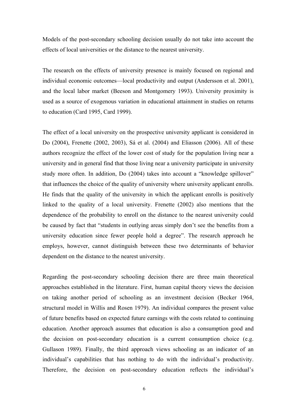Models of the post-secondary schooling decision usually do not take into account the effects of local universities or the distance to the nearest university.

The research on the effects of university presence is mainly focused on regional and individual economic outcomes—local productivity and output (Andersson et al. 2001), and the local labor market (Beeson and Montgomery 1993). University proximity is used as a source of exogenous variation in educational attainment in studies on returns to education (Card 1995, Card 1999).

The effect of a local university on the prospective university applicant is considered in Do (2004), Frenette (2002, 2003), Sá et al. (2004) and Eliasson (2006). All of these authors recognize the effect of the lower cost of study for the population living near a university and in general find that those living near a university participate in university study more often. In addition, Do (2004) takes into account a "knowledge spillover" that influences the choice of the quality of university where university applicant enrolls. He finds that the quality of the university in which the applicant enrolls is positively linked to the quality of a local university. Frenette (2002) also mentions that the dependence of the probability to enroll on the distance to the nearest university could be caused by fact that "students in outlying areas simply don't see the benefits from a university education since fewer people hold a degree". The research approach he employs, however, cannot distinguish between these two determinants of behavior dependent on the distance to the nearest university.

Regarding the post-secondary schooling decision there are three main theoretical approaches established in the literature. First, human capital theory views the decision on taking another period of schooling as an investment decision (Becker 1964, structural model in Willis and Rosen 1979). An individual compares the present value of future benefits based on expected future earnings with the costs related to continuing education. Another approach assumes that education is also a consumption good and the decision on post-secondary education is a current consumption choice (e.g. Gullason 1989). Finally, the third approach views schooling as an indicator of an individual's capabilities that has nothing to do with the individual's productivity. Therefore, the decision on post-secondary education reflects the individual's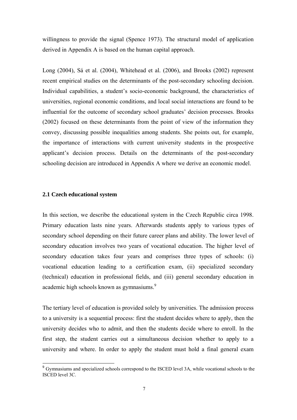willingness to provide the signal (Spence 1973). The structural model of application derived in Appendix A is based on the human capital approach.

Long (2004), Sá et al. (2004), Whitehead et al. (2006), and Brooks (2002) represent recent empirical studies on the determinants of the post-secondary schooling decision. Individual capabilities, a student's socio-economic background, the characteristics of universities, regional economic conditions, and local social interactions are found to be influential for the outcome of secondary school graduates' decision processes. Brooks (2002) focused on these determinants from the point of view of the information they convey, discussing possible inequalities among students. She points out, for example, the importance of interactions with current university students in the prospective applicant's decision process. Details on the determinants of the post-secondary schooling decision are introduced in Appendix A where we derive an economic model.

#### **2.1 Czech educational system**

 $\overline{a}$ 

In this section, we describe the educational system in the Czech Republic circa 1998. Primary education lasts nine years. Afterwards students apply to various types of secondary school depending on their future career plans and ability. The lower level of secondary education involves two years of vocational education. The higher level of secondary education takes four years and comprises three types of schools: (i) vocational education leading to a certification exam, (ii) specialized secondary (technical) education in professional fields, and (iii) general secondary education in academic high schools known as gymnasiums.<sup>9</sup>

The tertiary level of education is provided solely by universities. The admission process to a university is a sequential process: first the student decides where to apply, then the university decides who to admit, and then the students decide where to enroll. In the first step, the student carries out a simultaneous decision whether to apply to a university and where. In order to apply the student must hold a final general exam

<sup>&</sup>lt;sup>9</sup> Gymnasiums and specialized schools correspond to the ISCED level 3A, while vocational schools to the ISCED level 3C.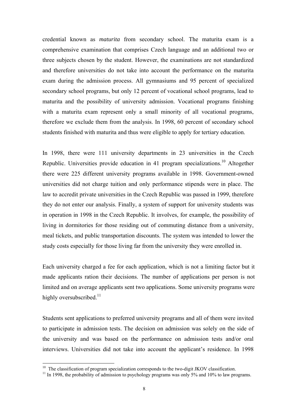credential known as *maturita* from secondary school. The maturita exam is a comprehensive examination that comprises Czech language and an additional two or three subjects chosen by the student. However, the examinations are not standardized and therefore universities do not take into account the performance on the maturita exam during the admission process. All gymnasiums and 95 percent of specialized secondary school programs, but only 12 percent of vocational school programs, lead to maturita and the possibility of university admission. Vocational programs finishing with a maturita exam represent only a small minority of all vocational programs, therefore we exclude them from the analysis. In 1998, 60 percent of secondary school students finished with maturita and thus were eligible to apply for tertiary education.

In 1998, there were 111 university departments in 23 universities in the Czech Republic. Universities provide education in 41 program specializations.<sup>10</sup> Altogether there were 225 different university programs available in 1998. Government-owned universities did not charge tuition and only performance stipends were in place. The law to accredit private universities in the Czech Republic was passed in 1999, therefore they do not enter our analysis. Finally, a system of support for university students was in operation in 1998 in the Czech Republic. It involves, for example, the possibility of living in dormitories for those residing out of commuting distance from a university, meal tickets, and public transportation discounts. The system was intended to lower the study costs especially for those living far from the university they were enrolled in.

Each university charged a fee for each application, which is not a limiting factor but it made applicants ration their decisions. The number of applications per person is not limited and on average applicants sent two applications. Some university programs were highly oversubscribed. $11$ 

Students sent applications to preferred university programs and all of them were invited to participate in admission tests. The decision on admission was solely on the side of the university and was based on the performance on admission tests and/or oral interviews. Universities did not take into account the applicant's residence. In 1998

<sup>&</sup>lt;sup>10</sup> The classification of program specialization corresponds to the two-digit JKOV classification.<br><sup>11</sup> In 1998, the probability of admission to psychology programs was only 5% and 10% to law programs.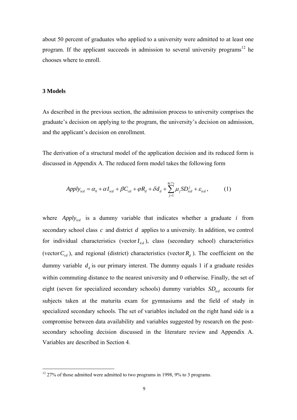about 50 percent of graduates who applied to a university were admitted to at least one program. If the applicant succeeds in admission to several university programs<sup>12</sup> he chooses where to enroll.

#### **3 Models**

 $\overline{a}$ 

As described in the previous section, the admission process to university comprises the graduate's decision on applying to the program, the university's decision on admission, and the applicant's decision on enrollment.

The derivation of a structural model of the application decision and its reduced form is discussed in Appendix A. The reduced form model takes the following form

$$
Apply_{icd} = \alpha_0 + \alpha I_{icd} + \beta C_{cd} + \varphi R_d + \delta d_d + \sum_{j=1}^{8(7)} \mu_j SD_{icd}^j + \varepsilon_{icd},\tag{1}
$$

where  $Apply_{icl}$  is a dummy variable that indicates whether a graduate *i* from secondary school class *c* and district *d* applies to a university. In addition, we control for individual characteristics (vector  $I_{i c d}$ ), class (secondary school) characteristics (vector  $C_{cd}$ ), and regional (district) characteristics (vector  $R_d$ ). The coefficient on the dummy variable  $d_d$  is our primary interest. The dummy equals 1 if a graduate resides within commuting distance to the nearest university and 0 otherwise. Finally, the set of eight (seven for specialized secondary schools) dummy variables  $SD<sub>icd</sub>$  accounts for subjects taken at the maturita exam for gymnasiums and the field of study in specialized secondary schools. The set of variables included on the right hand side is a compromise between data availability and variables suggested by research on the postsecondary schooling decision discussed in the literature review and Appendix A. Variables are described in Section 4.

 $12$  27% of those admitted were admitted to two programs in 1998, 9% to 3 programs.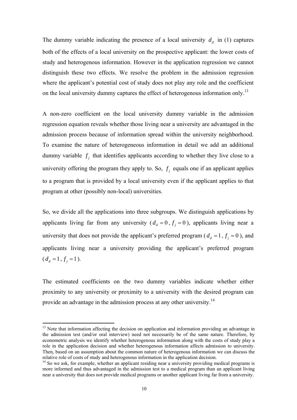The dummy variable indicating the presence of a local university  $d_d$  in (1) captures both of the effects of a local university on the prospective applicant: the lower costs of study and heterogenous information. However in the application regression we cannot distinguish these two effects. We resolve the problem in the admission regression where the applicant's potential cost of study does not play any role and the coefficient on the local university dummy captures the effect of heterogenous information only.<sup>13</sup>

A non-zero coefficient on the local university dummy variable in the admission regression equation reveals whether those living near a university are advantaged in the admission process because of information spread within the university neighborhood. To examine the nature of heterogeneous information in detail we add an additional dummy variable  $f_i$ , that identifies applicants according to whether they live close to a university offering the program they apply to. So,  $f_i$  equals one if an applicant applies to a program that is provided by a local university even if the applicant applies to that program at other (possibly non-local) universities.

So, we divide all the applications into three subgroups. We distinguish applications by applicants living far from any university ( $d_d = 0$ ,  $f_i = 0$ ), applicants living near a university that does not provide the applicant's preferred program ( $d_d = 1$ ,  $f_i = 0$ ), and applicants living near a university providing the applicant's preferred program  $(d_d = 1, f_i = 1).$ 

The estimated coefficients on the two dummy variables indicate whether either proximity to any university or proximity to a university with the desired program can provide an advantage in the admission process at any other university.14

<sup>&</sup>lt;sup>13</sup> Note that information affecting the decision on application and information providing an advantage in the admission test (and/or oral interview) need not necessarily be of the same nature. Therefore, by econometric analysis we identify whether heterogenous information along with the costs of study play a role in the application decision and whether heterogenous information affects admission to university. Then, based on an assumption about the common nature of heterogenous information we can discuss the relative role of costs of study and heterogenous information in the application decision.

 $14$  So we ask, for example, whether an applicant residing near a university providing medical programs is more informed and thus advantaged in the admission test to a medical program than an applicant living near a university that does not provide medical programs or another applicant living far from a university.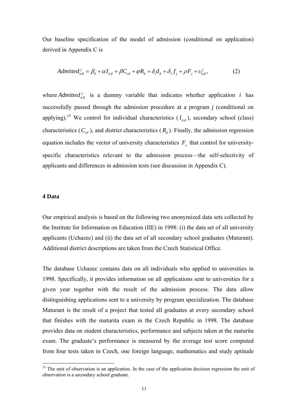Our baseline specification of the model of admission (conditional on application) derived in Appendix C is

$$
Admitted_{icd}^j = \beta_0 + \alpha I_{icd} + \beta C_{cd} + \varphi R_d + \delta_1 d_d + \delta_2 f_j + \rho F_j + \upsilon_{icd}^j,
$$
 (2)

where *Admitted*<sup>*i*</sup> is a dummy variable that indicates whether application *i* has successfully passed through the admission procedure at a program *j* (conditional on applying).<sup>15</sup> We control for individual characteristics  $(I_{icd})$ , secondary school (class) characteristics  $(C_{cd})$ , and district characteristics  $(R_d)$ . Finally, the admission regression equation includes the vector of university characteristics  $F_j$  that control for universityspecific characteristics relevant to the admission process—the self-selectivity of applicants and differences in admission tests (see discussion in Appendix C).

#### **4 Data**

 $\overline{a}$ 

Our empirical analysis is based on the following two anonymized data sets collected by the Institute for Information on Education (IIE) in 1998: (i) the data set of all university applicants (Uchazec) and (ii) the data set of all secondary school graduates (Maturant). Additional district descriptions are taken from the Czech Statistical Office.

The database Uchazec contains data on all individuals who applied to universities in 1998. Specifically, it provides information on all applications sent to universities for a given year together with the result of the admission process. The data allow distinguishing applications sent to a university by program specialization. The database Maturant is the result of a project that tested all graduates at every secondary school that finishes with the maturita exam in the Czech Republic in 1998. The database provides data on student characteristics, performance and subjects taken at the maturita exam. The graduate's performance is measured by the average test score computed from four tests taken in Czech, one foreign language, mathematics and study aptitude

 $15$  The unit of observation is an application. In the case of the application decision regression the unit of observation is a secondary school graduate.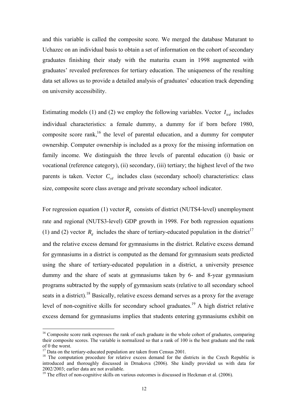and this variable is called the composite score. We merged the database Maturant to Uchazec on an individual basis to obtain a set of information on the cohort of secondary graduates finishing their study with the maturita exam in 1998 augmented with graduates' revealed preferences for tertiary education. The uniqueness of the resulting data set allows us to provide a detailed analysis of graduates' education track depending on university accessibility.

Estimating models (1) and (2) we employ the following variables. Vector  $I_{i,d}$  includes individual characteristics: a female dummy, a dummy for if born before 1980, composite score rank,<sup>16</sup> the level of parental education, and a dummy for computer ownership. Computer ownership is included as a proxy for the missing information on family income. We distinguish the three levels of parental education (i) basic or vocational (reference category), (ii) secondary, (iii) tertiary; the highest level of the two parents is taken. Vector  $C_{cd}$  includes class (secondary school) characteristics: class size, composite score class average and private secondary school indicator.

For regression equation (1) vector  $R_d$  consists of district (NUTS4-level) unemployment rate and regional (NUTS3-level) GDP growth in 1998. For both regression equations (1) and (2) vector  $R_d$  includes the share of tertiary-educated population in the district<sup>17</sup> and the relative excess demand for gymnasiums in the district. Relative excess demand for gymnasiums in a district is computed as the demand for gymnasium seats predicted using the share of tertiary-educated population in a district, a university presence dummy and the share of seats at gymnasiums taken by 6- and 8-year gymnasium programs subtracted by the supply of gymnasium seats (relative to all secondary school seats in a district).<sup>18</sup> Basically, relative excess demand serves as a proxy for the average level of non-cognitive skills for secondary school graduates.<sup>19</sup> A high district relative excess demand for gymnasiums implies that students entering gymnasiums exhibit on

<sup>&</sup>lt;sup>16</sup> Composite score rank expresses the rank of each graduate in the whole cohort of graduates, comparing their composite scores. The variable is normalized so that a rank of 100 is the best graduate and the rank of 0 the worst.

 $17$  Data on the tertiary-educated population are taken from Census 2001.

<sup>&</sup>lt;sup>18</sup> The computation procedure for relative excess demand for the districts in the Czech Republic is introduced and thoroughly discussed in Drnakova (2006). She kindly provided us with data for 2002/2003; earlier data are not available.

 $19$  The effect of non-cognitive skills on various outcomes is discussed in Heckman et al. (2006).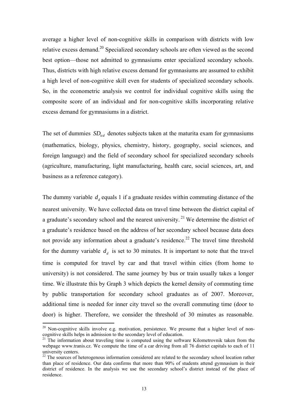average a higher level of non-cognitive skills in comparison with districts with low relative excess demand.<sup>20</sup> Specialized secondary schools are often viewed as the second best option—those not admitted to gymnasiums enter specialized secondary schools. Thus, districts with high relative excess demand for gymnasiums are assumed to exhibit a high level of non-cognitive skill even for students of specialized secondary schools. So, in the econometric analysis we control for individual cognitive skills using the composite score of an individual and for non-cognitive skills incorporating relative excess demand for gymnasiums in a district.

The set of dummies  $SD_{icl}$  denotes subjects taken at the maturita exam for gymnasiums (mathematics, biology, physics, chemistry, history, geography, social sciences, and foreign language) and the field of secondary school for specialized secondary schools (agriculture, manufacturing, light manufacturing, health care, social sciences, art, and business as a reference category).

The dummy variable  $d_d$  equals 1 if a graduate resides within commuting distance of the nearest university. We have collected data on travel time between the district capital of a graduate's secondary school and the nearest university.<sup>21</sup> We determine the district of a graduate's residence based on the address of her secondary school because data does not provide any information about a graduate's residence.<sup>22</sup> The travel time threshold for the dummy variable  $d<sub>d</sub>$  is set to 30 minutes. It is important to note that the travel time is computed for travel by car and that travel within cities (from home to university) is not considered. The same journey by bus or train usually takes a longer time. We illustrate this by Graph 3 which depicts the kernel density of commuting time by public transportation for secondary school graduates as of 2007. Moreover, additional time is needed for inner city travel so the overall commuting time (door to door) is higher. Therefore, we consider the threshold of 30 minutes as reasonable.

 $20$  Non-cognitive skills involve e.g. motivation, persistence. We presume that a higher level of noncognitive skills helps in admission to the secondary level of education.

 $21$  The information about traveling time is computed using the software Kilometrovnik taken from the webpage www.tranis.cz. We compute the time of a car driving from all 76 district capitals to each of 11 university centers.

 $^{22}$  The sources of heterogenous information considered are related to the secondary school location rather than place of residence. Our data confirms that more than 90% of students attend gymnasium in their district of residence. In the analysis we use the secondary school's district instead of the place of residence.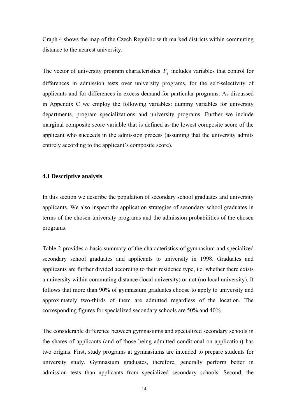Graph 4 shows the map of the Czech Republic with marked districts within commuting distance to the nearest university.

The vector of university program characteristics  $F_j$  includes variables that control for differences in admission tests over university programs, for the self-selectivity of applicants and for differences in excess demand for particular programs. As discussed in Appendix C we employ the following variables: dummy variables for university departments, program specializations and university programs. Further we include marginal composite score variable that is defined as the lowest composite score of the applicant who succeeds in the admission process (assuming that the university admits entirely according to the applicant's composite score).

#### **4.1 Descriptive analysis**

In this section we describe the population of secondary school graduates and university applicants. We also inspect the application strategies of secondary school graduates in terms of the chosen university programs and the admission probabilities of the chosen programs.

Table 2 provides a basic summary of the characteristics of gymnasium and specialized secondary school graduates and applicants to university in 1998. Graduates and applicants are further divided according to their residence type, i.e. whether there exists a university within commuting distance (local university) or not (no local university). It follows that more than 90% of gymnasium graduates choose to apply to university and approximately two-thirds of them are admitted regardless of the location. The corresponding figures for specialized secondary schools are 50% and 40%.

The considerable difference between gymnasiums and specialized secondary schools in the shares of applicants (and of those being admitted conditional on application) has two origins. First, study programs at gymnasiums are intended to prepare students for university study. Gymnasium graduates, therefore, generally perform better in admission tests than applicants from specialized secondary schools. Second, the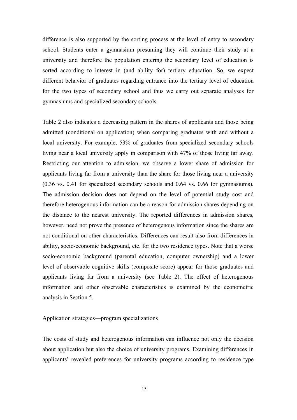difference is also supported by the sorting process at the level of entry to secondary school. Students enter a gymnasium presuming they will continue their study at a university and therefore the population entering the secondary level of education is sorted according to interest in (and ability for) tertiary education. So, we expect different behavior of graduates regarding entrance into the tertiary level of education for the two types of secondary school and thus we carry out separate analyses for gymnasiums and specialized secondary schools.

Table 2 also indicates a decreasing pattern in the shares of applicants and those being admitted (conditional on application) when comparing graduates with and without a local university. For example, 53% of graduates from specialized secondary schools living near a local university apply in comparison with 47% of those living far away. Restricting our attention to admission, we observe a lower share of admission for applicants living far from a university than the share for those living near a university (0.36 vs. 0.41 for specialized secondary schools and 0.64 vs. 0.66 for gymnasiums). The admission decision does not depend on the level of potential study cost and therefore heterogenous information can be a reason for admission shares depending on the distance to the nearest university. The reported differences in admission shares, however, need not prove the presence of heterogenous information since the shares are not conditional on other characteristics. Differences can result also from differences in ability, socio-economic background, etc. for the two residence types. Note that a worse socio-economic background (parental education, computer ownership) and a lower level of observable cognitive skills (composite score) appear for those graduates and applicants living far from a university (see Table 2). The effect of heterogenous information and other observable characteristics is examined by the econometric analysis in Section 5.

#### Application strategies—program specializations

The costs of study and heterogenous information can influence not only the decision about application but also the choice of university programs. Examining differences in applicants' revealed preferences for university programs according to residence type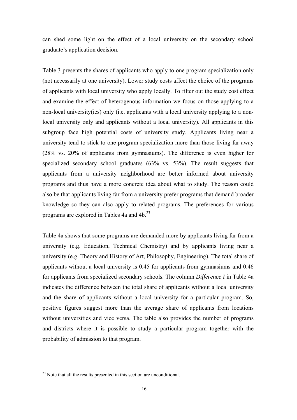can shed some light on the effect of a local university on the secondary school graduate's application decision.

Table 3 presents the shares of applicants who apply to one program specialization only (not necessarily at one university). Lower study costs affect the choice of the programs of applicants with local university who apply locally. To filter out the study cost effect and examine the effect of heterogenous information we focus on those applying to a non-local university(ies) only (i.e. applicants with a local university applying to a nonlocal university only and applicants without a local university). All applicants in this subgroup face high potential costs of university study. Applicants living near a university tend to stick to one program specialization more than those living far away (28% vs. 20% of applicants from gymnasiums). The difference is even higher for specialized secondary school graduates (63% vs. 53%). The result suggests that applicants from a university neighborhood are better informed about university programs and thus have a more concrete idea about what to study. The reason could also be that applicants living far from a university prefer programs that demand broader knowledge so they can also apply to related programs. The preferences for various programs are explored in Tables 4a and  $4b$ <sup>23</sup>

Table 4a shows that some programs are demanded more by applicants living far from a university (e.g. Education, Technical Chemistry) and by applicants living near a university (e.g. Theory and History of Art, Philosophy, Engineering). The total share of applicants without a local university is 0.45 for applicants from gymnasiums and 0.46 for applicants from specialized secondary schools. The column *Difference I* in Table 4a indicates the difference between the total share of applicants without a local university and the share of applicants without a local university for a particular program. So, positive figures suggest more than the average share of applicants from locations without universities and vice versa. The table also provides the number of programs and districts where it is possible to study a particular program together with the probability of admission to that program.

 $^{23}$  Note that all the results presented in this section are unconditional.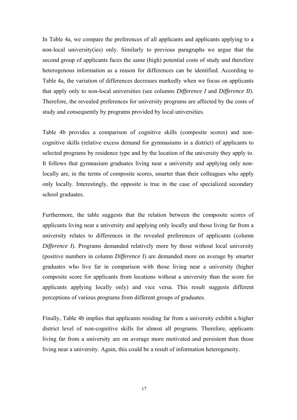In Table 4a, we compare the preferences of all applicants and applicants applying to a non-local university(ies) only. Similarly to previous paragraphs we argue that the second group of applicants faces the same (high) potential costs of study and therefore heterogenous information as a reason for differences can be identified. According to Table 4a, the variation of differences decreases markedly when we focus on applicants that apply only to non-local universities (see columns *Difference I* and *Difference II*). Therefore, the revealed preferences for university programs are affected by the costs of study and consequently by programs provided by local universities.

Table 4b provides a comparison of cognitive skills (composite scores) and noncognitive skills (relative excess demand for gymnasiums in a district) of applicants to selected programs by residence type and by the location of the university they apply to. It follows that gymnasium graduates living near a university and applying only nonlocally are, in the terms of composite scores, smarter than their colleagues who apply only locally. Interestingly, the opposite is true in the case of specialized secondary school graduates.

Furthermore, the table suggests that the relation between the composite scores of applicants living near a university and applying only locally and those living far from a university relates to differences in the revealed preferences of applicants (column *Difference I*). Programs demanded relatively more by those without local university (positive numbers in column *Difference I*) are demanded more on average by smarter graduates who live far in comparison with those living near a university (higher composite score for applicants from locations without a university than the score for applicants applying locally only) and vice versa. This result suggests different perceptions of various programs from different groups of graduates.

Finally, Table 4b implies that applicants residing far from a university exhibit a higher district level of non-cognitive skills for almost all programs. Therefore, applicants living far from a university are on average more motivated and persistent than those living near a university. Again, this could be a result of information heterogeneity.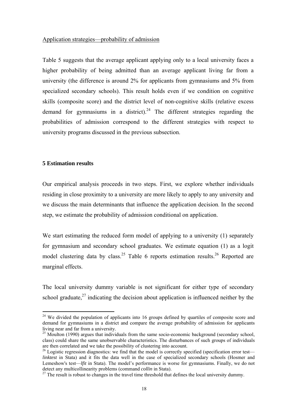#### Application strategies—probability of admission

Table 5 suggests that the average applicant applying only to a local university faces a higher probability of being admitted than an average applicant living far from a university (the difference is around 2% for applicants from gymnasiums and 5% from specialized secondary schools). This result holds even if we condition on cognitive skills (composite score) and the district level of non-cognitive skills (relative excess demand for gymnasiums in a district).<sup>24</sup> The different strategies regarding the probabilities of admission correspond to the different strategies with respect to university programs discussed in the previous subsection.

#### **5 Estimation results**

 $\overline{a}$ 

Our empirical analysis proceeds in two steps. First, we explore whether individuals residing in close proximity to a university are more likely to apply to any university and we discuss the main determinants that influence the application decision. In the second step, we estimate the probability of admission conditional on application.

We start estimating the reduced form model of applying to a university (1) separately for gymnasium and secondary school graduates. We estimate equation (1) as a logit model clustering data by class.<sup>25</sup> Table 6 reports estimation results.<sup>26</sup> Reported are marginal effects.

The local university dummy variable is not significant for either type of secondary school graduate,  $27$  indicating the decision about application is influenced neither by the

<sup>&</sup>lt;sup>24</sup> We divided the population of applicants into 16 groups defined by quartiles of composite score and demand for gymnasiums in a district and compare the average probability of admission for applicants living near and far from a university.

 $25$  Moulton (1990) argues that individuals from the same socio-economic background (secondary school, class) could share the same unobservable characteristics. The disturbances of such groups of individuals are then correlated and we take the possibility of clustering into account.

<sup>&</sup>lt;sup>26</sup> Logistic regression diagnostics: we find that the model is correctly specified (specification error test *linktest* in Stata) and it fits the data well in the case of specialized secondary schools (Hosmer and Lemeshow's test—*lfit* in Stata). The model's performance is worse for gymnasiums. Finally, we do not detect any multicollinearity problems (command *collin* in Stata).

<sup>&</sup>lt;sup>27</sup> The result is robust to changes in the travel time threshold that defines the local university dummy.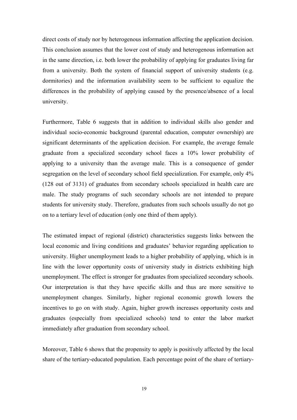direct costs of study nor by heterogenous information affecting the application decision. This conclusion assumes that the lower cost of study and heterogenous information act in the same direction, i.e. both lower the probability of applying for graduates living far from a university. Both the system of financial support of university students (e.g. dormitories) and the information availability seem to be sufficient to equalize the differences in the probability of applying caused by the presence/absence of a local university.

Furthermore, Table 6 suggests that in addition to individual skills also gender and individual socio-economic background (parental education, computer ownership) are significant determinants of the application decision. For example, the average female graduate from a specialized secondary school faces a 10% lower probability of applying to a university than the average male. This is a consequence of gender segregation on the level of secondary school field specialization. For example, only 4% (128 out of 3131) of graduates from secondary schools specialized in health care are male. The study programs of such secondary schools are not intended to prepare students for university study. Therefore, graduates from such schools usually do not go on to a tertiary level of education (only one third of them apply).

The estimated impact of regional (district) characteristics suggests links between the local economic and living conditions and graduates' behavior regarding application to university. Higher unemployment leads to a higher probability of applying, which is in line with the lower opportunity costs of university study in districts exhibiting high unemployment. The effect is stronger for graduates from specialized secondary schools. Our interpretation is that they have specific skills and thus are more sensitive to unemployment changes. Similarly, higher regional economic growth lowers the incentives to go on with study. Again, higher growth increases opportunity costs and graduates (especially from specialized schools) tend to enter the labor market immediately after graduation from secondary school.

Moreover, Table 6 shows that the propensity to apply is positively affected by the local share of the tertiary-educated population. Each percentage point of the share of tertiary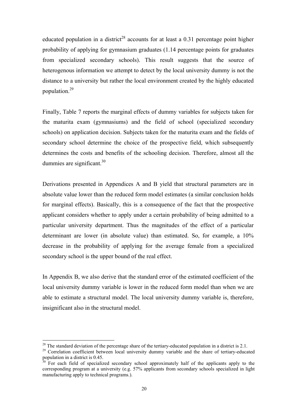educated population in a district<sup>28</sup> accounts for at least a 0.31 percentage point higher probability of applying for gymnasium graduates (1.14 percentage points for graduates from specialized secondary schools). This result suggests that the source of heterogenous information we attempt to detect by the local university dummy is not the distance to a university but rather the local environment created by the highly educated population.29

Finally, Table 7 reports the marginal effects of dummy variables for subjects taken for the maturita exam (gymnasiums) and the field of school (specialized secondary schools) on application decision. Subjects taken for the maturita exam and the fields of secondary school determine the choice of the prospective field, which subsequently determines the costs and benefits of the schooling decision. Therefore, almost all the dummies are significant. $30<sup>30</sup>$ 

Derivations presented in Appendices A and B yield that structural parameters are in absolute value lower than the reduced form model estimates (a similar conclusion holds for marginal effects). Basically, this is a consequence of the fact that the prospective applicant considers whether to apply under a certain probability of being admitted to a particular university department. Thus the magnitudes of the effect of a particular determinant are lower (in absolute value) than estimated. So, for example, a 10% decrease in the probability of applying for the average female from a specialized secondary school is the upper bound of the real effect.

In Appendix B, we also derive that the standard error of the estimated coefficient of the local university dummy variable is lower in the reduced form model than when we are able to estimate a structural model. The local university dummy variable is, therefore, insignificant also in the structural model.

<sup>&</sup>lt;sup>28</sup> The standard deviation of the percentage share of the tertiary-educated population in a district is 2.1.<br><sup>29</sup> Correlation coefficient between local university dummy variable and the share of tertiary-educated

population in a district is 0.45.

 $30^{30}$  For each field of specialized secondary school approximately half of the applicants apply to the corresponding program at a university (e.g. 57% applicants from secondary schools specialized in light manufacturing apply to technical programs.).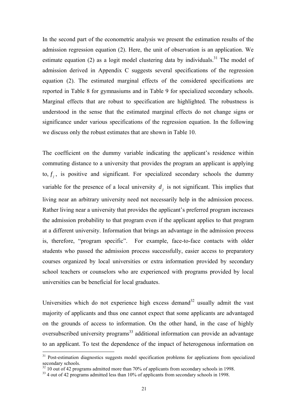In the second part of the econometric analysis we present the estimation results of the admission regression equation (2). Here, the unit of observation is an application. We estimate equation (2) as a logit model clustering data by individuals.<sup>31</sup> The model of admission derived in Appendix C suggests several specifications of the regression equation (2). The estimated marginal effects of the considered specifications are reported in Table 8 for gymnasiums and in Table 9 for specialized secondary schools. Marginal effects that are robust to specification are highlighted. The robustness is understood in the sense that the estimated marginal effects do not change signs or significance under various specifications of the regression equation. In the following we discuss only the robust estimates that are shown in Table 10.

The coefficient on the dummy variable indicating the applicant's residence within commuting distance to a university that provides the program an applicant is applying to,  $f_j$ , is positive and significant. For specialized secondary schools the dummy variable for the presence of a local university  $d_i$  is not significant. This implies that living near an arbitrary university need not necessarily help in the admission process. Rather living near a university that provides the applicant's preferred program increases the admission probability to that program even if the applicant applies to that program at a different university. Information that brings an advantage in the admission process is, therefore, "program specific". For example, face-to-face contacts with older students who passed the admission process successfully, easier access to preparatory courses organized by local universities or extra information provided by secondary school teachers or counselors who are experienced with programs provided by local universities can be beneficial for local graduates.

Universities which do not experience high excess demand<sup>32</sup> usually admit the vast majority of applicants and thus one cannot expect that some applicants are advantaged on the grounds of access to information. On the other hand, in the case of highly oversubscribed university programs<sup>33</sup> additional information can provide an advantage to an applicant. To test the dependence of the impact of heterogenous information on

<sup>&</sup>lt;sup>31</sup> Post-estimation diagnostics suggests model specification problems for applications from specialized secondary schools.

 $32$  10 out of 42 programs admitted more than 70% of applicants from secondary schools in 1998.

<sup>&</sup>lt;sup>33</sup> 4 out of 42 programs admitted less than 10% of applicants from secondary schools in 1998.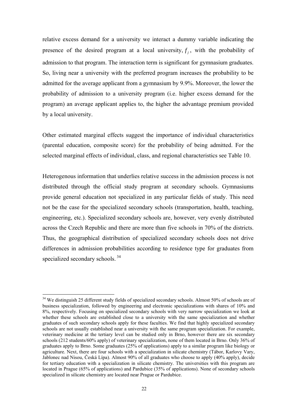relative excess demand for a university we interact a dummy variable indicating the presence of the desired program at a local university,  $f_i$ , with the probability of admission to that program. The interaction term is significant for gymnasium graduates. So, living near a university with the preferred program increases the probability to be admitted for the average applicant from a gymnasium by 9.9%. Moreover, the lower the probability of admission to a university program (i.e. higher excess demand for the program) an average applicant applies to, the higher the advantage premium provided by a local university.

Other estimated marginal effects suggest the importance of individual characteristics (parental education, composite score) for the probability of being admitted. For the selected marginal effects of individual, class, and regional characteristics see Table 10.

Heterogenous information that underlies relative success in the admission process is not distributed through the official study program at secondary schools. Gymnasiums provide general education not specialized in any particular fields of study. This need not be the case for the specialized secondary schools (transportation, health, teaching, engineering, etc.). Specialized secondary schools are, however, very evenly distributed across the Czech Republic and there are more than five schools in 70% of the districts. Thus, the geographical distribution of specialized secondary schools does not drive differences in admission probabilities according to residence type for graduates from specialized secondary schools.<sup>34</sup>

<sup>&</sup>lt;sup>34</sup> We distinguish 25 different study fields of specialized secondary schools. Almost 50% of schools are of business specialization, followed by engineering and electronic specializations with shares of 10% and 8%, respectively. Focusing on specialized secondary schools with very narrow specialization we look at whether these schools are established close to a university with the same specialization and whether graduates of such secondary schools apply for these faculties. We find that highly specialized secondary schools are not usually established near a university with the same program specialization. For example, veterinary medicine at the tertiary level can be studied only in Brno, however there are six secondary schools (212 students/60% apply) of veterinary specialization, none of them located in Brno. Only 36% of graduates apply to Brno. Some graduates (25% of applications) apply to a similar program like biology or agriculture. Next, there are four schools with a specialization in silicate chemistry (Tábor, Karlovy Vary, Jablonec nad Nisou, Česká Lípa). Almost 90% of all graduates who choose to apply (40% apply), decide for tertiary education with a specialization in silicate chemistry. The universities with this program are located in Prague (65% of applications) and Pardubice (35% of applications). None of secondary schools specialized in silicate chemistry are located near Prague or Pardubice.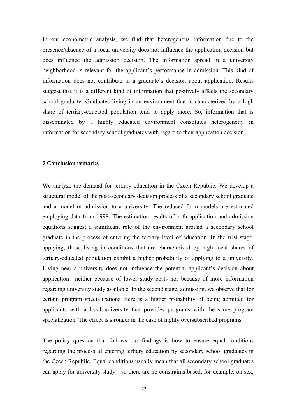In our econometric analysis, we find that heterogenous information due to the presence/absence of a local university does not influence the application decision but does influence the admission decision. The information spread in a university neighborhood is relevant for the applicant's performance in admission. This kind of information does not contribute to a graduate's decision about application. Results suggest that it is a different kind of information that positively affects the secondary school graduate. Graduates living in an environment that is characterized by a high share of tertiary-educated population tend to apply more. So, information that is disseminated by a highly educated environment constitutes heterogeneity in information for secondary school graduates with regard to their application decision.

#### **7 Conclusion remarks**

We analyze the demand for tertiary education in the Czech Republic. We develop a structural model of the post-secondary decision process of a secondary school graduate and a model of admission to a university. The reduced form models are estimated employing data from 1998. The estimation results of both application and admission equations suggest a significant role of the environment around a secondary school graduate in the process of entering the tertiary level of education. In the first stage, applying, those living in conditions that are characterized by high local shares of tertiary-educated population exhibit a higher probability of applying to a university. Living near a university does not influence the potential applicant's decision about application—neither because of lower study costs nor because of more information regarding university study available. In the second stage, admission, we observe that for certain program specializations there is a higher probability of being admitted for applicants with a local university that provides programs with the same program specialization. The effect is stronger in the case of highly oversubscribed programs.

The policy question that follows our findings is how to ensure equal conditions regarding the process of entering tertiary education by secondary school graduates in the Czech Republic. Equal conditions usually mean that all secondary school graduates can apply for university study—so there are no constraints based, for example, on sex,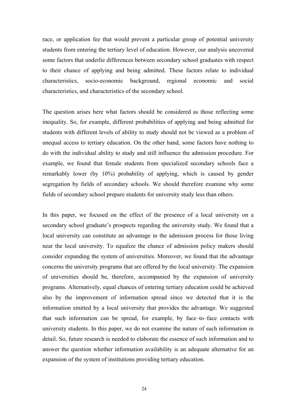race, or application fee that would prevent a particular group of potential university students from entering the tertiary level of education. However, our analysis uncovered some factors that underlie differences between secondary school graduates with respect to their chance of applying and being admitted. These factors relate to individual characteristics, socio-economic background, regional economic and social characteristics, and characteristics of the secondary school.

The question arises here what factors should be considered as those reflecting some inequality. So, for example, different probabilities of applying and being admitted for students with different levels of ability to study should not be viewed as a problem of unequal access to tertiary education. On the other hand, some factors have nothing to do with the individual ability to study and still influence the admission procedure. For example, we found that female students from specialized secondary schools face a remarkably lower (by 10%) probability of applying, which is caused by gender segregation by fields of secondary schools. We should therefore examine why some fields of secondary school prepare students for university study less than others.

In this paper, we focused on the effect of the presence of a local university on a secondary school graduate's prospects regarding the university study. We found that a local university can constitute an advantage in the admission process for those living near the local university. To equalize the chance of admission policy makers should consider expanding the system of universities. Moreover, we found that the advantage concerns the university programs that are offered by the local university. The expansion of universities should be, therefore, accompanied by the expansion of university programs. Alternatively, equal chances of entering tertiary education could be achieved also by the improvement of information spread since we detected that it is the information emitted by a local university that provides the advantage. We suggested that such information can be spread, for example, by face–to–face contacts with university students. In this paper, we do not examine the nature of such information in detail. So, future research is needed to elaborate the essence of such information and to answer the question whether information availability is an adequate alternative for an expansion of the system of institutions providing tertiary education.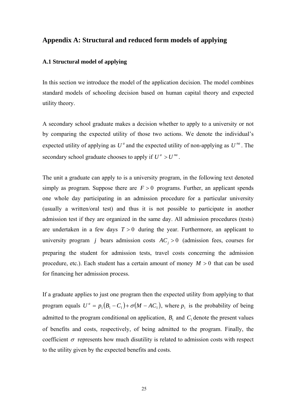### **Appendix A: Structural and reduced form models of applying**

#### **A.1 Structural model of applying**

In this section we introduce the model of the application decision. The model combines standard models of schooling decision based on human capital theory and expected utility theory.

A secondary school graduate makes a decision whether to apply to a university or not by comparing the expected utility of those two actions. We denote the individual's expected utility of applying as  $U^a$  and the expected utility of non-applying as  $U^{na}$ . The secondary school graduate chooses to apply if  $U^a > U^{na}$ .

The unit a graduate can apply to is a university program, in the following text denoted simply as program. Suppose there are  $F > 0$  programs. Further, an applicant spends one whole day participating in an admission procedure for a particular university (usually a written/oral test) and thus it is not possible to participate in another admission test if they are organized in the same day. All admission procedures (tests) are undertaken in a few days  $T > 0$  during the year. Furthermore, an applicant to university program *j* bears admission costs  $AC_i > 0$  (admission fees, courses for preparing the student for admission tests, travel costs concerning the admission procedure, etc.). Each student has a certain amount of money  $M > 0$  that can be used for financing her admission process.

If a graduate applies to just one program then the expected utility from applying to that program equals  $U^a = p_1 (B_1 - C_1) + \sigma (M - AC_1)$ , where  $p_1$  is the probability of being admitted to the program conditional on application,  $B_1$  and  $C_1$  denote the present values of benefits and costs, respectively, of being admitted to the program. Finally, the coefficient  $\sigma$  represents how much disutility is related to admission costs with respect to the utility given by the expected benefits and costs.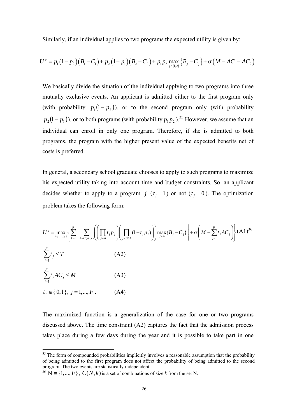Similarly, if an individual applies to two programs the expected utility is given by:

$$
U^{a} = p_{1}(1-p_{2})(B_{1}-C_{1})+p_{2}(1-p_{1})(B_{2}-C_{2})+p_{1}p_{2} \max_{j\in\{1,2\}}\{B_{j}-C_{j}\}+\sigma(M-AC_{1}-AC_{2}).
$$

We basically divide the situation of the individual applying to two programs into three mutually exclusive events. An applicant is admitted either to the first program only (with probability  $p_1 ( 1 - p_2 )$ ), or to the second program only (with probability  $p_2(1-p_1)$ , or to both programs (with probability  $p_1p_2$ ).<sup>35</sup> However, we assume that an individual can enroll in only one program. Therefore, if she is admitted to both programs, the program with the higher present value of the expected benefits net of costs is preferred.

In general, a secondary school graduate chooses to apply to such programs to maximize his expected utility taking into account time and budget constraints. So, an applicant decides whether to apply to a program *j*  $(t_j = 1)$  or not  $(t_j = 0)$ . The optimization problem takes the following form:

$$
U^{a} = \max_{\{t_{1},...,t_{F}\}} \left\{ \sum_{k=1}^{F} \left[ \sum_{A \in C(N,k)} \left( \left( \prod_{j \in A} t_{j} p_{j} \right) \left( \prod_{j \in N \setminus A} (1 - t_{j} p_{j}) \right) \right) \max_{j \in A} \{B_{j} - C_{j}\} \right] + \sigma \left( M - \sum_{j=1}^{F} t_{j} A C_{j} \right) \right\} (A1)^{36}
$$
\n
$$
\sum_{j=1}^{F} t_{j} \leq T \qquad (A2)
$$
\n
$$
t_{j} \in \{0,1\}, j = 1,...,F. \qquad (A4)
$$

The maximized function is a generalization of the case for one or two programs discussed above. The time constraint (A2) captures the fact that the admission process takes place during a few days during the year and it is possible to take part in one

<sup>&</sup>lt;sup>35</sup> The form of compounded probabilities implicitly involves a reasonable assumption that the probability of being admitted to the first program does not affect the probability of being admitted to the second program. The two events are statistically independent.

<sup>&</sup>lt;sup>36</sup>  $N = \{1, ..., F\}$ ,  $C(N, k)$  is a set of combinations of size *k* from the set N.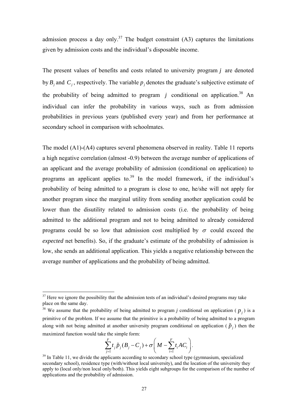admission process a day only.<sup>37</sup> The budget constraint  $(A3)$  captures the limitations given by admission costs and the individual's disposable income.

The present values of benefits and costs related to university program *j* are denoted by  $B_j$  and  $C_j$ , respectively. The variable  $p_j$  denotes the graduate's subjective estimate of the probability of being admitted to program  $j$  conditional on application.<sup>38</sup> An individual can infer the probability in various ways, such as from admission probabilities in previous years (published every year) and from her performance at secondary school in comparison with schoolmates.

The model (A1)-(A4) captures several phenomena observed in reality. Table 11 reports a high negative correlation (almost -0.9) between the average number of applications of an applicant and the average probability of admission (conditional on application) to programs an applicant applies to.<sup>39</sup> In the model framework, if the individual's probability of being admitted to a program is close to one, he/she will not apply for another program since the marginal utility from sending another application could be lower than the disutility related to admission costs (i.e. the probability of being admitted to the additional program and not to being admitted to already considered programs could be so low that admission cost multiplied by  $\sigma$  could exceed the *expected* net benefits). So, if the graduate's estimate of the probability of admission is low, she sends an additional application. This yields a negative relationship between the average number of applications and the probability of being admitted.

$$
\sum_{j=1}^F t_j \tilde{p}_j (B_j - C_j) + \sigma \left( M - \sum_{i=1}^F t_i A C_i \right).
$$

 $37$  Here we ignore the possibility that the admission tests of an individual's desired programs may take place on the same day.

<sup>&</sup>lt;sup>38</sup> We assume that the probability of being admitted to program *j* conditional on application ( $p_i$ ) is a primitive of the problem. If we assume that the primitive is a probability of being admitted to a program along with not being admitted at another university program conditional on application ( $\tilde{p}_i$ ) then the maximized function would take the simple form:

 $39$  In Table 11, we divide the applicants according to secondary school type (gymnasium, specialized secondary school), residence type (with/without local university), and the location of the university they apply to (local only/non local only/both). This yields eight subgroups for the comparison of the number of applications and the probability of admission.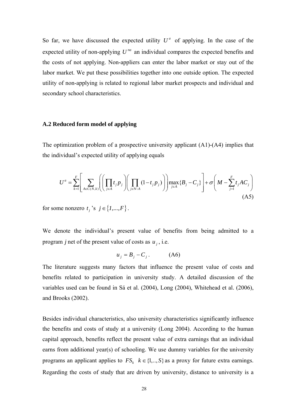So far, we have discussed the expected utility  $U^a$  of applying. In the case of the expected utility of non-applying  $U^{na}$  an individual compares the expected benefits and the costs of not applying. Non-appliers can enter the labor market or stay out of the labor market. We put these possibilities together into one outside option. The expected utility of non-applying is related to regional labor market prospects and individual and secondary school characteristics.

#### **A.2 Reduced form model of applying**

The optimization problem of a prospective university applicant (A1)-(A4) implies that the individual's expected utility of applying equals

$$
U^{a} = \sum_{k=1}^{F} \left[ \sum_{A \in C(N,k)} \left( \left( \prod_{j \in A} t_{j} p_{j} \right) \left( \prod_{j \in N \setminus A} (1-t_{j} p_{j}) \right) \right) \max_{j \in A} \{B_{j} - C_{j}\} \right] + \sigma \left( M - \sum_{j=1}^{F} t_{j} A C_{j} \right)
$$
\n(A5)

for some nonzero  $t_j$  's  $j \in \{1, ..., F\}$ .

We denote the individual's present value of benefits from being admitted to a program *j* net of the present value of costs as  $u_i$ , i.e.

$$
u_j = B_j - C_j. \tag{A6}
$$

The literature suggests many factors that influence the present value of costs and benefits related to participation in university study. A detailed discussion of the variables used can be found in Sá et al. (2004), Long (2004), Whitehead et al. (2006), and Brooks (2002).

Besides individual characteristics, also university characteristics significantly influence the benefits and costs of study at a university (Long 2004). According to the human capital approach, benefits reflect the present value of extra earnings that an individual earns from additional year(s) of schooling. We use dummy variables for the university programs an applicant applies to  $FS_k$   $k \in \{1, ..., S\}$  as a proxy for future extra earnings. Regarding the costs of study that are driven by university, distance to university is a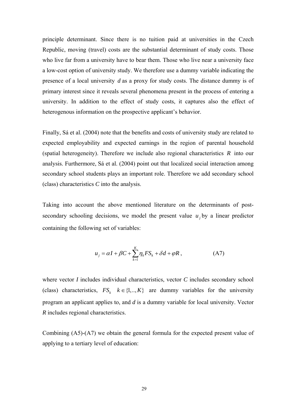principle determinant. Since there is no tuition paid at universities in the Czech Republic, moving (travel) costs are the substantial determinant of study costs. Those who live far from a university have to bear them. Those who live near a university face a low-cost option of university study. We therefore use a dummy variable indicating the presence of a local university *d* as a proxy for study costs. The distance dummy is of primary interest since it reveals several phenomena present in the process of entering a university. In addition to the effect of study costs, it captures also the effect of heterogenous information on the prospective applicant's behavior.

Finally, Sá et al. (2004) note that the benefits and costs of university study are related to expected employability and expected earnings in the region of parental household (spatial heterogeneity). Therefore we include also regional characteristics *R* into our analysis. Furthermore, Sá et al. (2004) point out that localized social interaction among secondary school students plays an important role. Therefore we add secondary school (class) characteristics *C* into the analysis.

Taking into account the above mentioned literature on the determinants of postsecondary schooling decisions, we model the present value  $u_j$  by a linear predictor containing the following set of variables:

$$
u_j = \alpha I + \beta C + \sum_{k=1}^{K} \eta_k F S_k + \delta d + \varphi R, \qquad (A7)
$$

where vector *I* includes individual characteristics, vector *C* includes secondary school (class) characteristics,  $FS_k$   $k \in \{1, ..., K\}$  are dummy variables for the university program an applicant applies to, and *d* is a dummy variable for local university. Vector *R* includes regional characteristics.

Combining (A5)-(A7) we obtain the general formula for the expected present value of applying to a tertiary level of education: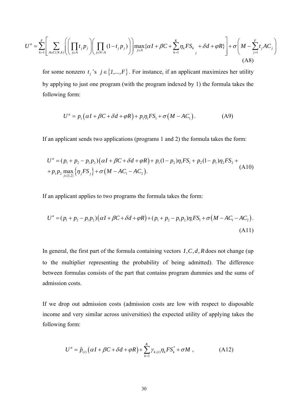$$
U^{a} = \sum_{k=1}^{F} \left[ \sum_{A \in C(N,k)} \left( \left( \prod_{j \in A} t_{j} p_{j} \right) \left( \prod_{j \in N \setminus A} (1-t_{j} p_{j}) \right) \right) \max_{j \in A} \{ \alpha I + \beta C + \sum_{k=1}^{K} \eta_{k} F S_{k} + \delta d + \varphi R \} \right] + \sigma \left( M - \sum_{j=1}^{F} t_{j} A C_{j} \right)
$$
\n(A8)

for some nonzero  $t_j$ 's  $j \in \{1, ..., F\}$ . For instance, if an applicant maximizes her utility by applying to just one program (with the program indexed by 1) the formula takes the following form:

$$
U^a = p_1(\alpha I + \beta C + \delta d + \varphi R) + p_1 \eta_1 F S_1 + \sigma (M - AC_1). \tag{A9}
$$

If an applicant sends two applications (programs 1 and 2) the formula takes the form:

$$
U^{a} = (p_{1} + p_{2} - p_{1}p_{2})(\alpha I + \beta C + \delta d + \varphi R) + p_{1}(1 - p_{2})\eta_{1}FS_{1} + p_{2}(1 - p_{1})\eta_{2}FS_{2} +
$$
  
+  $p_{1}p_{2} \max_{j \in \{1,2\}} \{\eta_{j}FS_{j}\} + \sigma (M - AC_{1} - AC_{2}).$  (A10)

If an applicant applies to two programs the formula takes the form:

$$
U^{a} = (p_{1} + p_{2} - p_{1}p_{2})(\alpha I + \beta C + \delta d + \varphi R) + (p_{1} + p_{2} - p_{1}p_{2})\eta_{1}FS_{1} + \sigma(M - AC_{1} - AC_{2}).
$$
\n(A11)

In general, the first part of the formula containing vectors  $I, C, d, R$  does not change (up to the multiplier representing the probability of being admitted). The difference between formulas consists of the part that contains program dummies and the sums of admission costs.

If we drop out admission costs (admission costs are low with respect to disposable income and very similar across universities) the expected utility of applying takes the following form:

$$
U^a = \hat{p}_{(i)}\left(\alpha I + \beta C + \delta d + \varphi R\right) + \sum_{k=1}^K \gamma_{k,(i)} \eta_k F S_k^* + \sigma M \,,\tag{A12}
$$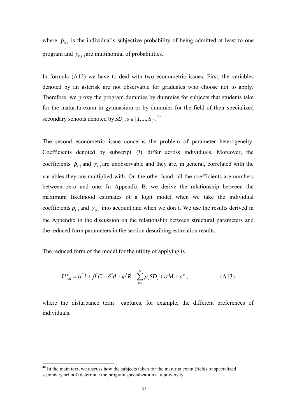where  $\hat{p}_{(i)}$  is the individual's subjective probability of being admitted at least to one program and  $\gamma_{k(i)}$  are multinomial of probabilities.

In formula (A12) we have to deal with two econometric issues. First, the variables denoted by an asterisk are not observable for graduates who choose not to apply. Therefore, we proxy the program dummies by dummies for subjects that students take for the maturita exam in gymnasium or by dummies for the field of their specialized secondary schools denoted by  $SD_s$ ,  $s \in \{1, ..., S\}$ .<sup>40</sup>

The second econometric issue concerns the problem of parameter heterogeneity. Coefficients denoted by subscript (*i*) differ across individuals. Moreover, the coefficients  $\hat{p}_{(i)}$  and  $\gamma_{(i)}$  are unobservable and they are, in general, correlated with the variables they are multiplied with. On the other hand, all the coefficients are numbers between zero and one. In Appendix B, we derive the relationship between the maximum likelihood estimates of a logit model when we take the individual coefficients  $\hat{p}_{(i)}$  and  $\gamma_{(i)}$  into account and when we don't. We use the results derived in the Appendix in the discussion on the relationship between structural parameters and the reduced form parameters in the section describing estimation results.

The reduced form of the model for the utility of applying is

 $\overline{a}$ 

$$
U_{\text{red}}^a = \alpha^* I + \beta^* C + \delta^* d + \varphi^* R + \sum_{s=1}^S \mu_s S D_s + \sigma M + \varepsilon^a , \qquad (A13)
$$

where the disturbance term captures, for example, the different preferences of individuals.

 $40$  In the main text, we discuss how the subjects taken for the maturita exam (fields of specialized secondary school) determine the program specialization at a university.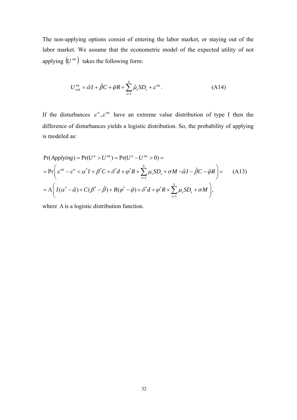The non-applying options consist of entering the labor market, or staying out of the labor market. We assume that the econometric model of the expected utility of not applying  $(U^{na})$  takes the following form:

$$
U_{\text{red}}^{na} = \tilde{\alpha}I + \tilde{\beta}C + \tilde{\varphi}R + \sum_{s=1}^{S} \tilde{\mu}_s SD_s + \varepsilon^{na} \,. \tag{A14}
$$

If the disturbances  $\varepsilon^a$ ,  $\varepsilon^{na}$  have an extreme value distribution of type I then the difference of disturbances yields a logistic distribution. So, the probability of applying is modeled as:

$$
Pr(Applying) = Pr(Ua > Una) = Pr(Ua - Una > 0) =
$$
  
= 
$$
Pr\left(\varepsilon^{na} - \varepsilon^{a} < \alpha^{*}I + \beta^{*}C + \delta^{*}d + \varphi^{*}R + \sum_{s=1}^{S} \mu_{s}SD_{s} + \sigma M - \tilde{\alpha}I - \tilde{\beta}C - \tilde{\varphi}R\right) = (A13)
$$
  
= 
$$
\Lambda\left(I(\alpha^{*} - \tilde{\alpha}) + C(\beta^{*} - \tilde{\beta}) + R(\varphi^{*} - \tilde{\varphi}) + \delta^{*}d + \varphi^{*}R + \sum_{s=1}^{S} \mu_{s}SD_{s} + \sigma M\right),
$$

where  $\Lambda$  is a logistic distribution function.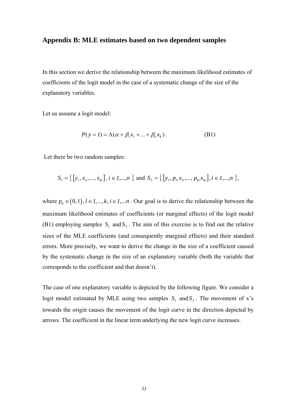## **Appendix B: MLE estimates based on two dependent samples**

In this section we derive the relationship between the maximum likelihood estimates of coefficients of the logit model in the case of a systematic change of the size of the explanatory variables.

Let us assume a logit model:

$$
P(y = I) = \Lambda(\alpha + \beta_1 x_1 + ... + \beta_k x_k).
$$
 (B1)

Let there be two random samples:

$$
S_1 = \{ [y_i, x_{1i}, ..., x_{ki}], i \in I, ..., n \} \text{ and } S_2 = \{ [y_i, p_{1i}x_{1i}, ..., p_{ki}x_{ki}], i \in I, ..., n \},
$$

where  $p_{ij} \in (0,1), i \in I, ..., k, i \in I, ..., n$ . Our goal is to derive the relationship between the maximum likelihood estimates of coefficients (or marginal effects) of the logit model (B1) employing samples  $S_1$  and  $S_2$ . The aim of this exercise is to find out the relative sizes of the MLE coefficients (and consequently marginal effects) and their standard errors. More precisely, we want to derive the change in the size of a coefficient caused by the systematic change in the size of an explanatory variable (both the variable that corresponds to the coefficient and that doesn't).

The case of one explanatory variable is depicted by the following figure. We consider a logit model estimated by MLE using two samples  $S_1$  and  $S_2$ . The movement of x's towards the origin causes the movement of the logit curve in the direction depicted by arrows. The coefficient in the linear term underlying the new logit curve increases.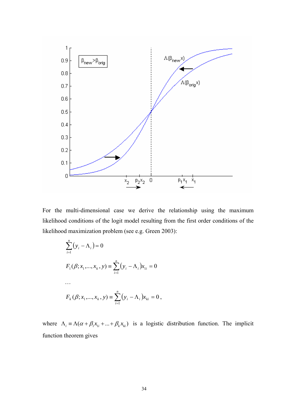

For the multi-dimensional case we derive the relationship using the maximum likelihood conditions of the logit model resulting from the first order conditions of the likelihood maximization problem (see e.g. Green 2003):

$$
\sum_{i=1}^{n} (y_i - \Lambda_i) = 0
$$
  
\n
$$
F_1(\beta; x_1, ..., x_k, y) = \sum_{i=1}^{n} (y_i - \Lambda_i)x_{1i} = 0
$$
  
\n...  
\n
$$
F_k(\beta; x_1, ..., x_k, y) = \sum_{i=1}^{n} (y_i - \Lambda_i)x_{ki} = 0,
$$

where  $\Lambda_i = \Lambda(\alpha + \beta_1 x_{1i} + ... + \beta_k x_{ki})$  is a logistic distribution function. The implicit function theorem gives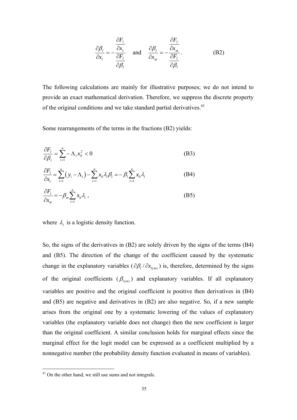$$
\frac{\partial \beta_l}{\partial x_l} = -\frac{\frac{\partial F_l}{\partial x_l}}{\frac{\partial F_l}{\partial \beta_l}} \quad \text{and} \quad \frac{\partial \beta_l}{\partial x_m} = -\frac{\frac{\partial F_l}{\partial x_m}}{\frac{\partial F_l}{\partial \beta_l}}.
$$
 (B2)

The following calculations are mainly for illustrative purposes; we do not intend to provide an exact mathematical derivation. Therefore, we suppress the discrete property of the original conditions and we take standard partial derivatives.<sup>41</sup>

Some rearrangements of the terms in the fractions (B2) yields:

$$
\frac{\partial F_l}{\partial \beta_l} = \sum_{i=1}^n -\Lambda_i x_{li}^2 < 0 \tag{B3}
$$

$$
\frac{\partial F_l}{\partial x_l} = \sum_{i=1}^n (y_i - \Lambda_i) - \sum_{i=1}^n x_{li} \lambda_i \beta_l = -\beta_l \sum_{i=1}^n x_{li} \lambda_i
$$
 (B4)

$$
\frac{\partial F_i}{\partial x_m} = -\beta_m \sum_{i=1}^n x_{li} \lambda_i \,, \tag{B5}
$$

where  $\lambda_i$  is a logistic density function.

So, the signs of the derivatives in (B2) are solely driven by the signs of the terms (B4) and (B5). The direction of the change of the coefficient caused by the systematic change in the explanatory variables ( $\partial \beta_l / \partial x_{l(m)}$ ) is, therefore, determined by the signs of the original coefficients  $(\beta_{l(m)})$  and explanatory variables. If all explanatory variables are positive and the original coefficient is positive then derivatives in (B4) and (B5) are negative and derivatives in (B2) are also negative. So, if a new sample arises from the original one by a systematic lowering of the values of explanatory variables (the explanatory variable does not change) then the new coefficient is larger than the original coefficient. A similar conclusion holds for marginal effects since the marginal effect for the logit model can be expressed as a coefficient multiplied by a nonnegative number (the probability density function evaluated in means of variables).

 $41$  On the other hand, we still use sums and not integrals.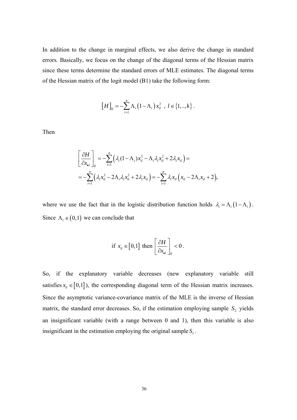In addition to the change in marginal effects, we also derive the change in standard errors. Basically, we focus on the change of the diagonal terms of the Hessian matrix since these terms determine the standard errors of MLE estimates. The diagonal terms of the Hessian matrix of the logit model (B1) take the following form:

$$
[H]_{ll} = -\sum_{i=1}^{n} \Lambda_i (1 - \Lambda_i) x_{il}^2 , l \in \{1,..,k\}.
$$

Then

$$
\begin{aligned}\n&\left[\frac{\partial H}{\partial x_{\bullet i}}\right]_{ll} = -\sum_{i=1}^{n} \left(\lambda_i (1 - \Lambda_i) x_{il}^2 - \Lambda_i \lambda_i x_{il}^2 + 2 \lambda_i x_{il}\right) = \\
&= -\sum_{i=1}^{n} \left(\lambda_i x_{il}^2 - 2 \Lambda_i \lambda_i x_{il}^2 + 2 \lambda_i x_{il}\right) = -\sum_{i=1}^{n} \lambda_i x_{il} \left(x_{il} - 2 \Lambda_i x_{il} + 2\right),\n\end{aligned}
$$

where we use the fact that in the logistic distribution function holds  $\lambda_i = \Lambda_i (1 - \Lambda_i)$ . Since  $\Lambda_i \in (0,1)$  we can conclude that

if 
$$
x_{il} \in [0,1]
$$
 then  $\left[\frac{\partial H}{\partial x_{\bullet}}\right]_{il} < 0$ .

So, if the explanatory variable decreases (new explanatory variable still satisfies  $x_{ii} \in [0,1]$ ), the corresponding diagonal term of the Hessian matrix increases. Since the asymptotic variance-covariance matrix of the MLE is the inverse of Hessian matrix, the standard error decreases. So, if the estimation employing sample  $S_2$  yields an insignificant variable (with a range between 0 and 1), then this variable is also insignificant in the estimation employing the original sample  $S_1$ .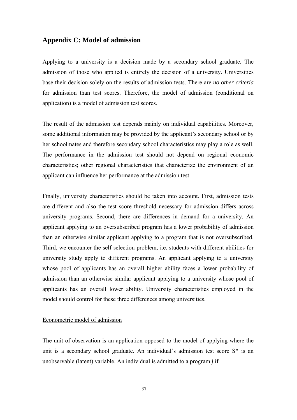#### **Appendix C: Model of admission**

Applying to a university is a decision made by a secondary school graduate. The admission of those who applied is entirely the decision of a university. Universities base their decision solely on the results of admission tests. There are *no other criteria* for admission than test scores. Therefore, the model of admission (conditional on application) is a model of admission test scores.

The result of the admission test depends mainly on individual capabilities. Moreover, some additional information may be provided by the applicant's secondary school or by her schoolmates and therefore secondary school characteristics may play a role as well. The performance in the admission test should not depend on regional economic characteristics; other regional characteristics that characterize the environment of an applicant can influence her performance at the admission test.

Finally, university characteristics should be taken into account. First, admission tests are different and also the test score threshold necessary for admission differs across university programs. Second, there are differences in demand for a university. An applicant applying to an oversubscribed program has a lower probability of admission than an otherwise similar applicant applying to a program that is not oversubscribed. Third, we encounter the self-selection problem, i.e. students with different abilities for university study apply to different programs. An applicant applying to a university whose pool of applicants has an overall higher ability faces a lower probability of admission than an otherwise similar applicant applying to a university whose pool of applicants has an overall lower ability. University characteristics employed in the model should control for these three differences among universities.

#### Econometric model of admission

The unit of observation is an application opposed to the model of applying where the unit is a secondary school graduate. An individual's admission test score S\* is an unobservable (latent) variable. An individual is admitted to a program *j* if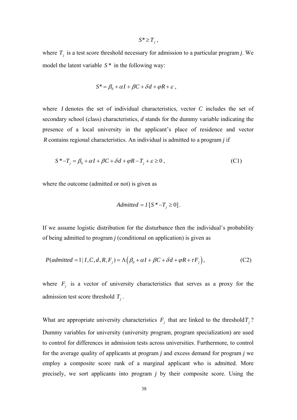where  $T_j$  is a test score threshold necessary for admission to a particular program *j*. We model the latent variable *S* \* in the following way:

 $S^* \geq T_i$ ,

$$
S^* = \beta_0 + \alpha I + \beta C + \delta d + \varphi R + \varepsilon ,
$$

where *I* denotes the set of individual characteristics, vector *C* includes the set of secondary school (class) characteristics, *d* stands for the dummy variable indicating the presence of a local university in the applicant's place of residence and vector *R* contains regional characteristics. An individual is admitted to a program *j* if

$$
S^* - T_j = \beta_0 + \alpha I + \beta C + \delta d + \varphi R - T_j + \varepsilon \ge 0,
$$
 (C1)

where the outcome (admitted or not) is given as

$$
Admitted = I [S^* - T_j \ge 0].
$$

If we assume logistic distribution for the disturbance then the individual's probability of being admitted to program *j* (conditional on application) is given as

$$
P(\text{admitted} = 1 | I, C, d, R, F_j) = \Lambda \left( \beta_0 + \alpha I + \beta C + \delta d + \varphi R + \tau F_j \right),\tag{C2}
$$

where  $F_j$  is a vector of university characteristics that serves as a proxy for the admission test score threshold  $T_i$ .

What are appropriate university characteristics  $F_j$  that are linked to the threshold  $T_j$ ? Dummy variables for university (university program, program specialization) are used to control for differences in admission tests across universities. Furthermore, to control for the average quality of applicants at program *j* and excess demand for program *j* we employ a composite score rank of a marginal applicant who is admitted. More precisely, we sort applicants into program *j* by their composite score. Using the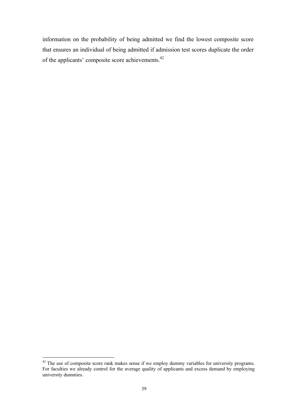information on the probability of being admitted we find the lowest composite score that ensures an individual of being admitted if admission test scores duplicate the order of the applicants' composite score achievements.42

 $42$  The use of composite score rank makes sense if we employ dummy variables for university programs. For faculties we already control for the average quality of applicants and excess demand by employing university dummies.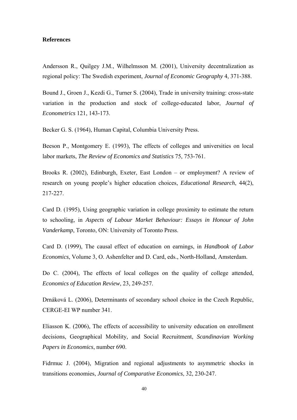#### **References**

Andersson R., Quilgey J.M., Wilhelmsson M. (2001), University decentralization as regional policy: The Swedish experiment, *Journal of Economic Geography* 4, 371-388.

Bound J., Groen J., Kezdi G., Turner S. (2004), Trade in university training: cross-state variation in the production and stock of college-educated labor, *Journal of Econometrics* 121, 143-173.

Becker G. S. (1964), Human Capital, Columbia University Press.

Beeson P., Montgomery E. (1993), The effects of colleges and universities on local labor markets, *The Review of Economics and Statistics* 75, 753-761.

Brooks R. (2002), Edinburgh, Exeter, East London – or employment? A review of research on young people's higher education choices, *Educational Research*, 44(2), 217-227.

Card D. (1995), Using geographic variation in college proximity to estimate the return to schooling, in *Aspects of Labour Market Behaviour: Essays in Honour of John Vanderkamp*, Toronto, ON: University of Toronto Press.

Card D. (1999), The causal effect of education on earnings, in *Handbook of Labor Economics*, Volume 3, O. Ashenfelter and D. Card, eds., North-Holland, Amsterdam.

Do C. (2004), The effects of local colleges on the quality of college attended, *Economics of Education Review*, 23, 249-257.

Drnáková L. (2006), Determinants of secondary school choice in the Czech Republic, CERGE-EI WP number 341.

Eliasson K. (2006), The effects of accessibility to university education on enrollment decisions, Geographical Mobility, and Social Recruitment, *Scandinavian Working Papers in Economics*, number 690.

Fidrmuc J. (2004), Migration and regional adjustments to asymmetric shocks in transitions economies, *Journal of Comparative Economics*, 32, 230-247.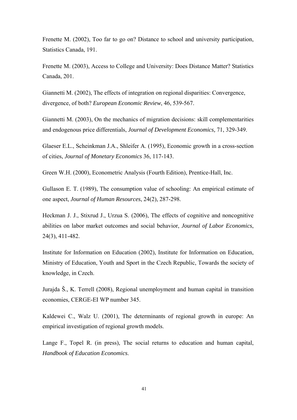Frenette M. (2002), Too far to go on? Distance to school and university participation, Statistics Canada, 191.

Frenette M. (2003), Access to College and University: Does Distance Matter? Statistics Canada, 201.

Giannetti M. (2002), The effects of integration on regional disparities: Convergence, divergence, of both? *European Economic Review*, 46, 539-567.

Giannetti M. (2003), On the mechanics of migration decisions: skill complementarities and endogenous price differentials, *Journal of Development Economics,* 71, 329-349.

Glaeser E.L., Scheinkman J.A., Shleifer A. (1995), Economic growth in a cross-section of cities, *Journal of Monetary Economics* 36, 117-143.

Green W.H. (2000), Econometric Analysis (Fourth Edition), Prentice-Hall, Inc.

Gullason E. T. (1989), The consumption value of schooling: An empirical estimate of one aspect, *Journal of Human Resources*, 24(2), 287-298.

Heckman J. J., Stixrud J., Urzua S. (2006), The effects of cognitive and noncognitive abilities on labor market outcomes and social behavior, *Journal of Labor Economics*, 24(3), 411-482.

Institute for Information on Education (2002), Institute for Information on Education, Ministry of Education, Youth and Sport in the Czech Republic, Towards the society of knowledge, in Czech.

Jurajda Š., K. Terrell (2008), Regional unemployment and human capital in transition economies, CERGE-EI WP number 345.

Kaldewei C., Walz U. (2001), The determinants of regional growth in europe: An empirical investigation of regional growth models.

Lange F., Topel R. (in press), The social returns to education and human capital, *Handbook of Education Economics*.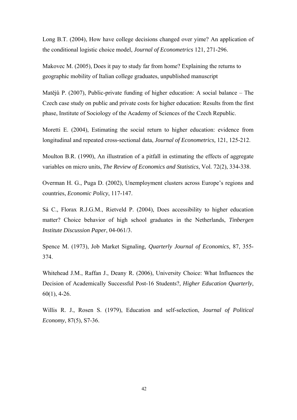Long B.T. (2004), How have college decisions changed over yime? An application of the conditional logistic choice model, *Journal of Econometrics* 121, 271-296.

Makovec M. (2005), Does it pay to study far from home? Explaining the returns to geographic mobility of Italian college graduates, unpublished manuscript

Matějů P. (2007), Public-private funding of higher education: A social balance – The Czech case study on public and private costs for higher education: Results from the first phase, Institute of Sociology of the Academy of Sciences of the Czech Republic.

Moretti E. (2004), Estimating the social return to higher education: evidence from longitudinal and repeated cross-sectional data, *Journal of Econometrics,* 121, 125-212.

Moulton B.R. (1990), An illustration of a pitfall in estimating the effects of aggregate variables on micro units, *The Review of Economics and Statistics*, Vol. 72(2), 334-338.

Overman H. G., Puga D. (2002), Unemployment clusters across Europe's regions and countries, *Economic Policy*, 117-147.

Sá C., Florax R.J.G.M., Rietveld P. (2004), Does accessibility to higher education matter? Choice behavior of high school graduates in the Netherlands, *Tinbergen Institute Discussion Paper*, 04-061/3.

Spence M. (1973), Job Market Signaling, *Quarterly Journal of Economics*, 87, 355- 374.

Whitehead J.M., Raffan J., Deany R. (2006), University Choice: What Influences the Decision of Academically Successful Post-16 Students?, *Higher Education Quarterly*, 60(1), 4-26.

Willis R. J., Rosen S. (1979), Education and self-selection, *Journal of Political Economy*, 87(5), S7-36.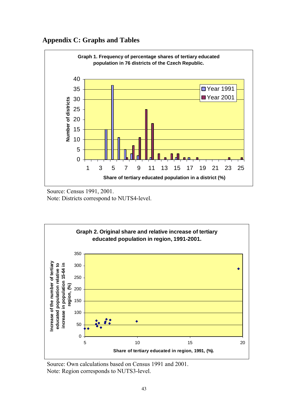## **Appendix C: Graphs and Tables**



 Source: Census 1991, 2001. Note: Districts correspond to NUTS4-level.



Source: Own calculations based on Census 1991 and 2001. Note: Region corresponds to NUTS3-level.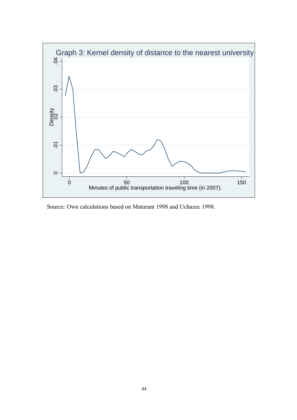

Source: Own calculations based on Maturant 1998 and Uchazec 1998.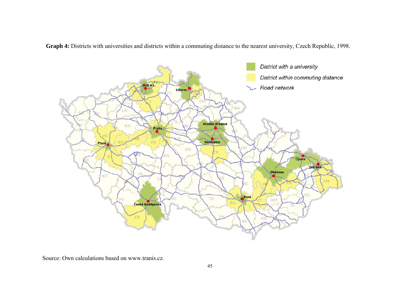**Graph 4:** Districts with universities and districts within a commuting distance to the nearest university, Czech Republic, 1998.



Source: Own calculations based on www.tranis.cz.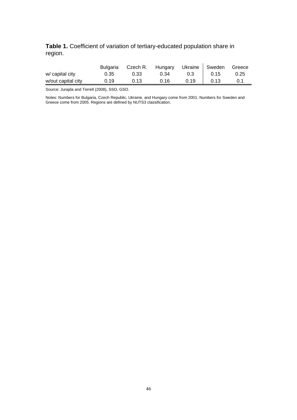## **Table 1.** Coefficient of variation of tertiary-educated population share in region.

|                    | Bulgaria | Czech R. Hungary |      | Ukraine   Sweden |      | Greece |
|--------------------|----------|------------------|------|------------------|------|--------|
| w/ capital city    | 0.35     | 0.33             | 0.34 | 0.3 <sup>°</sup> | 0.15 | 0.25   |
| w/out capital city | 0.19     | 0.13             | 0.16 | 0.19             | 0.13 |        |

Source: Jurajda and Terrell (2008), SSO, GSO.

Notes: Numbers for Bulgaria, Czech Republic, Ukraine, and Hungary come from 2001. Numbers for Sweden and Greece come from 2005. Regions are defined by NUTS3 classification.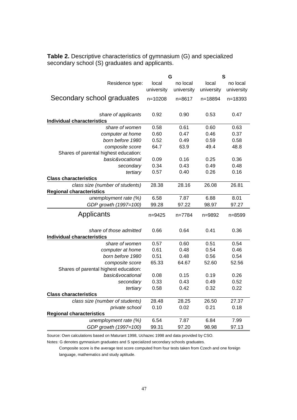|                                                                    | G                   |                        | S                   |                        |
|--------------------------------------------------------------------|---------------------|------------------------|---------------------|------------------------|
| Residence type:                                                    | local<br>university | no local<br>university | local<br>university | no local<br>university |
| Secondary school graduates                                         | $n = 10208$         | $n = 8617$             | n=18894             | $n = 18393$            |
| share of applicants<br><b>Individual characteristics</b>           | 0.92                | 0.90                   | 0.53                | 0.47                   |
| share of women                                                     | 0.58                | 0.61                   | 0.60                | 0.63                   |
| computer at home                                                   | 0.60                | 0.47                   | 0.46                | 0.37                   |
| born before 1980                                                   | 0.52                | 0.49                   | 0.59                | 0.58                   |
| composite score                                                    | 64.7                | 63.9                   | 49.4                | 48.8                   |
| Shares of parental highest education:                              |                     |                        |                     |                        |
| basic&vocational                                                   | 0.09                | 0.16                   | 0.25                | 0.36                   |
| secondary                                                          | 0.34                | 0.43                   | 0.49                | 0.48                   |
| tertiary                                                           | 0.57                | 0.40                   | 0.26                | 0.16                   |
| <b>Class characteristics</b>                                       |                     |                        |                     |                        |
| class size (number of students)<br><b>Regional characteristics</b> | 28.38               | 28.16                  | 26.08               | 26.81                  |
| unemployment rate (%)                                              | 6.58                | 7.87                   | 6.88                | 8.01                   |
| GDP growth (1997=100)                                              | 99.28               | 97.22                  | 98.97               | 97.27                  |
| Applicants                                                         | $n = 9425$          | n=7784                 | n=9892              | n=8599                 |
| share of those admitted<br><b>Individual characteristics</b>       | 0.66                | 0.64                   | 0.41                | 0.36                   |
| share of women                                                     | 0.57                | 0.60                   | 0.51                | 0.54                   |
| computer at home                                                   | 0.61                | 0.48                   | 0.54                | 0.46                   |
| born before 1980                                                   | 0.51                | 0.48                   | 0.56                | 0.54                   |
| composite score                                                    | 65.33               | 64.67                  | 52.60               | 52.56                  |
| Shares of parental highest education:                              |                     |                        |                     |                        |
| basic&vocational                                                   | 0.08                | 0.15                   | 0.19                | 0.26                   |
| secondary                                                          | 0.33                | 0.43                   | 0.49                | 0.52                   |
| tertiary                                                           | 0.58                | 0.42                   | 0.32                | 0.22                   |
| <b>Class characteristics</b>                                       |                     |                        |                     |                        |
| class size (number of students)                                    | 28.48               | 28.25                  | 26.50               | 27.37                  |
| private school                                                     | 0.10                | 0.02                   | 0.21                | 0.18                   |
| <b>Regional characteristics</b>                                    |                     |                        |                     |                        |
| unemployment rate (%)                                              | 6.54                | 7.87                   | 6.84                | 7.99                   |
| GDP growth (1997=100)                                              | 99.31               | 97.20                  | 98.98               | 97.13                  |

**Table 2.** Descriptive characteristics of gymnasium (G) and specialized secondary school (S) graduates and applicants.

Source: Own calculations based on Maturant 1998, Uchazec 1998 and data provided by CSO.

Notes: G denotes gymnasium graduates and S specialized secondary schools graduates.

 Composite score is the average test score computed from four tests taken from Czech and one foreign language, mathematics and study aptitude.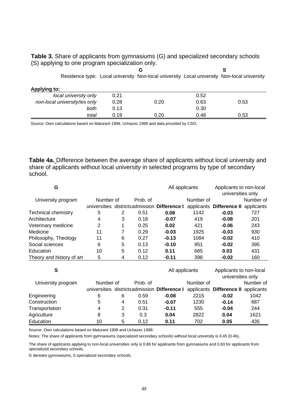**Table 3.** Share of applicants from gymnasiums (G) and specialized secondary schools (S) applying to one program specialization only.

|                               |      | G                                                                                           |      | S    |
|-------------------------------|------|---------------------------------------------------------------------------------------------|------|------|
|                               |      | Residence type: Local university Non-local university Local university Non-local university |      |      |
| Applying to:                  |      |                                                                                             |      |      |
| local university only         | 0.21 |                                                                                             | 0.52 |      |
| non-local university/ies only | 0.28 | 0.20                                                                                        | 0.63 | 0.53 |
| both                          | 0.13 |                                                                                             | 0.30 |      |
| total                         | 0.19 | 0.20                                                                                        | 0.48 | 0.53 |

Source: Own calculations based on Maturant 1998, Uchazec 1998 and data provided by CSO.

**Table 4a.** Difference between the average share of applicants without local university and share of applicants without local university in selected programs by type of secondary school.

| G                          |                |   |          |                                               | All applicants |                          | Applicants to non-local<br>universities only |
|----------------------------|----------------|---|----------|-----------------------------------------------|----------------|--------------------------|----------------------------------------------|
| University program         | Number of      |   | Prob. of |                                               | Number of      |                          | Number of                                    |
|                            | universities   |   |          | districts admission Difference I              | applicants     | Difference II applicants |                                              |
| <b>Technical chemistry</b> | 5              | 2 | 0.51     | 0.08                                          | 1142           | $-0.03$                  | 727                                          |
| Architecture               | 4              | 3 | 0.18     | $-0.07$                                       | 419            | $-0.08$                  | 201                                          |
| Veterinary medicine        | $\overline{2}$ | 1 | 0.25     | 0.02                                          | 421            | $-0.06$                  | 243                                          |
| Medicine                   | 11             | 7 | 0.29     | $-0.03$                                       | 1925           | $-0.03$                  | 930                                          |
| Philosophy, Theology       | 11             | 6 | 0.27     | $-0.13$                                       | 1084           | $-0.02$                  | 410                                          |
| Social sciences            | 6              | 5 | 0.13     | $-0.10$                                       | 951            | $-0.02$                  | 395                                          |
| Education                  | 10             | 5 | 0.12     | 0.11                                          | 685            | 0.03                     | 431                                          |
| Theory and history of art  | 5              | 4 | 0.12     | $-0.11$                                       | 398            | $-0.02$                  | 160                                          |
|                            |                |   |          |                                               |                |                          |                                              |
| S                          |                |   |          | All applicants                                |                | Applicants to non-local  |                                              |
|                            |                |   |          |                                               |                | universities only        |                                              |
| University program         | Number of      |   | Prob. of |                                               | Number of      |                          | Number of                                    |
|                            |                |   |          | universities districts admission Difference I | applicants     | Difference II            | applicants                                   |
| Engineering                | 6              | 6 | 0.59     | $-0.08$                                       | 2215           | $-0.02$                  | 1042                                         |
| Construction               | 5              | 4 | 0.51     | $-0.07$                                       | 1230           | $-0.14$                  | 687                                          |
| Transportation             | 4              | 2 | 0.31     | $-0.11$                                       | 555            | $-0.04$                  | 244                                          |
| Agriculture                | 8              | 3 | 0.3      | 0.04                                          | 2822           | 0.04                     | 1621                                         |
| Education                  | 10             | 5 | 0.12     | 0.11                                          | 702            | 0.05                     | 435                                          |

Source: Own calculations based on Maturant 1998 and Uchazec 1998.

Notes: The share of applicants from gymnasiums (specialized secondary schools) without local university is 0.45 (0.46).

The share of applicants applying to non-local universities only is 0.86 for applicants from gymnasiums and 0.83 for applicants from specialized secondary schools.

G denotes gymnasiums, S specialized secondary schools.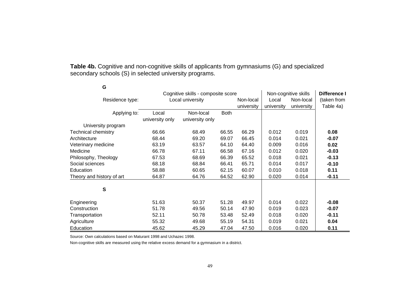**Table 4b.** Cognitive and non-cognitive skills of applicants from gymnasiums (G) and specialized secondary schools (S) in selected university programs.

| G                          |                 |                                    |             |            |                      |              |             |
|----------------------------|-----------------|------------------------------------|-------------|------------|----------------------|--------------|-------------|
|                            |                 | Cognitive skills - composite score |             |            | Non-cognitive skills | Difference I |             |
| Residence type:            |                 | Local university                   |             | Non-local  | Local                | Non-local    | (taken from |
|                            |                 |                                    |             | university | university           | university   | Table 4a)   |
| Applying to:               | Local           | Non-local                          | <b>Both</b> |            |                      |              |             |
|                            | university only | university only                    |             |            |                      |              |             |
| University program         |                 |                                    |             |            |                      |              |             |
| <b>Technical chemistry</b> | 66.66           | 68.49                              | 66.55       | 66.29      | 0.012                | 0.019        | 0.08        |
| Architecture               | 68.44           | 69.20                              | 69.07       | 66.45      | 0.014                | 0.021        | $-0.07$     |
| Veterinary medicine        | 63.19           | 63.57                              | 64.10       | 64.40      | 0.009                | 0.016        | 0.02        |
| Medicine                   | 66.78           | 67.11                              | 66.58       | 67.16      | 0.012                | 0.020        | $-0.03$     |
| Philosophy, Theology       | 67.53           | 68.69                              | 66.39       | 65.52      | 0.018                | 0.021        | $-0.13$     |
| Social sciences            | 68.18           | 68.84                              | 66.41       | 65.71      | 0.014                | 0.017        | $-0.10$     |
| Education                  | 58.88           | 60.65                              | 62.15       | 60.07      | 0.010                | 0.018        | 0.11        |
| Theory and history of art  | 64.87           | 64.76                              | 64.52       | 62.90      | 0.020                | 0.014        | $-0.11$     |
| S                          |                 |                                    |             |            |                      |              |             |
| Engineering                | 51.63           | 50.37                              | 51.28       | 49.97      | 0.014                | 0.022        | $-0.08$     |
| Construction               | 51.78           | 49.56                              | 50.14       | 47.90      | 0.019                | 0.023        | $-0.07$     |
| Transportation             | 52.11           | 50.78                              | 53.48       | 52.49      | 0.018                | 0.020        | $-0.11$     |
| Agriculture                | 55.32           | 49.68                              | 55.19       | 54.31      | 0.019                | 0.021        | 0.04        |
| Education                  | 45.62           | 45.29                              | 47.04       | 47.50      | 0.016                | 0.020        | 0.11        |

Source: Own calculations based on Maturant 1998 and Uchazec 1998.

Non-cognitive skills are measured using the relative excess demand for a gymnasium in a district.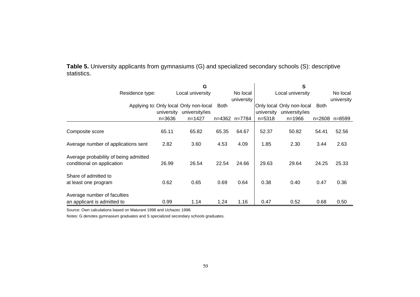**Table 5.** University applicants from gymnasiums (G) and specialized secondary schools (S): descriptive statistics.

|                                                                     |            | G                                      |             |               |            | S                         |             |               |
|---------------------------------------------------------------------|------------|----------------------------------------|-------------|---------------|------------|---------------------------|-------------|---------------|
| Residence type:                                                     |            | Local university                       |             | No local      |            | Local university          |             | No local      |
|                                                                     |            |                                        |             | university    |            |                           |             | university    |
|                                                                     |            | Applying to: Only local Only non-local | <b>Both</b> |               |            | Only local Only non-local | <b>Both</b> |               |
|                                                                     | university | university/ies                         |             |               | university | university/ies            |             |               |
|                                                                     | $n = 3636$ | $n = 1427$                             |             | n=4362 n=7784 | $n = 5318$ | $n = 1966$                |             | n=2608 n=8599 |
| Composite score                                                     | 65.11      | 65.82                                  | 65.35       | 64.67         | 52.37      | 50.82                     | 54.41       | 52.56         |
| Average number of applications sent                                 | 2.82       | 3.60                                   | 4.53        | 4.09          | 1.85       | 2.30                      | 3.44        | 2.63          |
| Average probability of being admitted<br>conditional on application | 26.99      | 26.54                                  | 22.54       | 24.66         | 29.63      | 29.64                     | 24.25       | 25.33         |
| Share of admitted to<br>at least one program                        | 0.62       | 0.65                                   | 0.69        | 0.64          | 0.38       | 0.40                      | 0.47        | 0.36          |
| Average number of faculties                                         |            |                                        |             |               |            |                           |             |               |
| an applicant is admitted to                                         | 0.99       | 1.14                                   | 1.24        | 1.16          | 0.47       | 0.52                      | 0.68        | 0.50          |

Source: Own calculations based on Maturant 1998 and Uchazec 1998.

Notes: G denotes gymnasium graduates and S specialized secondary schools graduates.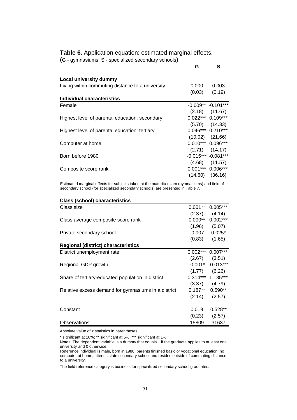**Table 6.** Application equation: estimated marginal effects. (G - gymnasiums, S - specialized secondary schools)

**G S** 

| <b>Local university dummy</b>                    |                     |                         |
|--------------------------------------------------|---------------------|-------------------------|
| Living within commuting distance to a university | 0.000               | 0.003                   |
|                                                  | (0.03)              | (0.19)                  |
| Individual characteristics                       |                     |                         |
| Female                                           |                     | $-0.009**$ $-0.101***$  |
|                                                  |                     | $(2.18)$ $(11.67)$      |
| Highest level of parental education: secondary   | $0.022***$ 0.109*** |                         |
|                                                  |                     | $(5.70)$ $(14.33)$      |
| Highest level of parental education: tertiary    |                     | $0.046***$ 0.210***     |
|                                                  |                     | $(10.02)$ $(21.66)$     |
| Computer at home                                 | $0.010***$ 0.096*** |                         |
|                                                  |                     | $(2.71)$ $(14.17)$      |
| Born before 1980                                 |                     | $-0.015***$ $-0.081***$ |
|                                                  |                     | $(4.68)$ $(11.57)$      |
| Composite score rank                             | $0.001***$          | $0.006***$              |
|                                                  | (14.60)             | (36.16)                 |

Estimated marginal effects for subjects taken at the maturita exam (gymnasiums) and field of secondary school (for specialized secondary schools) are presented in Table 7.

| <b>Class (school) characteristics</b>               |            |                         |
|-----------------------------------------------------|------------|-------------------------|
| Class size                                          | $0.001**$  | $0.005***$              |
|                                                     | (2.37)     | (4.14)                  |
| Class average composite score rank                  | $0.000**$  | $0.002***$              |
|                                                     |            | $(1.96)$ $(5.07)$       |
| Private secondary school                            |            | $-0.007$ $0.025*$       |
|                                                     | (0.83)     | (1.65)                  |
| <b>Regional (district) characteristics</b>          |            |                         |
| District unemployment rate                          | $0.002***$ | $0.007***$              |
|                                                     |            | $(2.67)$ $(3.51)$       |
| Regional GDP growth                                 |            | $-0.001$ * $-0.013$ *** |
|                                                     |            | $(1.77)$ $(6.26)$       |
| Share of tertiary-educated population in district   |            | $0.314***$ 1.135***     |
|                                                     |            | $(3.37)$ $(4.79)$       |
| Relative excess demand for gymnasiums in a district |            | $0.187**$ 0.590**       |
|                                                     |            | $(2.14)$ $(2.57)$       |
| Constant                                            | 0.019      | $0.528**$               |
|                                                     | (0.23)     | (2.57)                  |
| Observations                                        | 15809      | 31637                   |

Absolute value of z statistics in parentheses.

 $\overline{a}$ 

\* significant at 10%; \*\* significant at 5%; \*\*\* significant at 1% Notes: The dependent variable is a dummy that equals 1 if the graduate applies to at least one university and 0 otherwise.

Reference individual is male, born in 1980, parents finished basic or vocational education, no computer at home, attends state secondary school and resides outside of commuting distance to a university.

The field reference category is business for specialized secondary school graduates.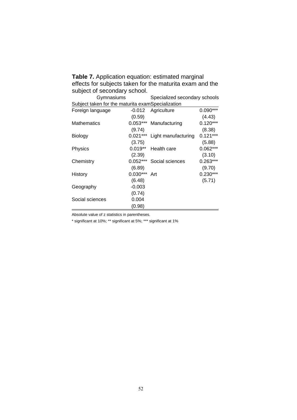**Table 7.** Application equation: estimated marginal effects for subjects taken for the maturita exam and the subject of secondary school.

| Gymnasiums                                        |            | Specialized secondary schools |            |  |  |  |
|---------------------------------------------------|------------|-------------------------------|------------|--|--|--|
| Subject taken for the maturita examSpecialization |            |                               |            |  |  |  |
| Foreign language                                  | $-0.012$   | Agriculture                   | $0.090***$ |  |  |  |
|                                                   | (0.59)     |                               | (4.43)     |  |  |  |
| <b>Mathematics</b>                                | $0.053***$ | Manufacturing                 | $0.120***$ |  |  |  |
|                                                   | (9.74)     |                               | (8.38)     |  |  |  |
| <b>Biology</b>                                    | $0.021***$ | Light manufacturing           | $0.121***$ |  |  |  |
|                                                   | (3.75)     |                               | (5.88)     |  |  |  |
| <b>Physics</b>                                    | $0.019**$  | Health care                   | $0.062***$ |  |  |  |
|                                                   | (2.39)     |                               | (3.10)     |  |  |  |
| Chemistry                                         | $0.052***$ | Social sciences               | $0.263***$ |  |  |  |
|                                                   | (6.89)     |                               | (9.70)     |  |  |  |
| History                                           | $0.030***$ | Art                           | $0.230***$ |  |  |  |
|                                                   | (6.48)     |                               | (5.71)     |  |  |  |
| Geography                                         | $-0.003$   |                               |            |  |  |  |
|                                                   | (0.74)     |                               |            |  |  |  |
| Social sciences                                   | 0.004      |                               |            |  |  |  |
|                                                   | (0.98)     |                               |            |  |  |  |

Absolute value of z statistics in parentheses.

\* significant at 10%; \*\* significant at 5%; \*\*\* significant at 1%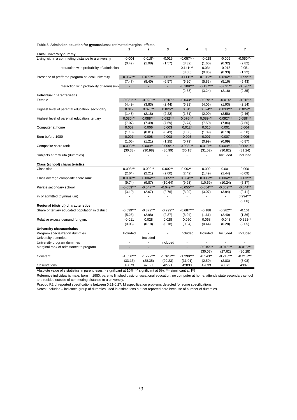| Table 8. Admission equation for gymnasiums: estimated marginal effects. | 1                            | $\mathbf{2}$   | 3                        | 4                    | 5                           | 6                    | $\overline{7}$       |
|-------------------------------------------------------------------------|------------------------------|----------------|--------------------------|----------------------|-----------------------------|----------------------|----------------------|
| Local university dummy                                                  |                              |                |                          |                      |                             |                      |                      |
| Living within a commuting distance to a university                      | $-0.004$                     | $-0.018**$     | $-0.015$                 | $-0.057***$          | $-0.028$                    | $-0.006$             | $-0.050***$          |
|                                                                         | (0.42)                       | (1.98)         | (1.57)                   | (3.32)<br>$0.141***$ | (1.60)                      | (0.32)               | (2.82)               |
| Interaction with probability of admission                               | $\blacksquare$               | $\blacksquare$ | $\blacksquare$           |                      | 0.034                       | $-0.013$             | 0.051                |
|                                                                         | $0.067***$                   | $0.077***$     | $0.061***$               | (3.68)<br>$0.111***$ | (0.85)<br>$0.105***$        | (0.33)<br>$0.094***$ | (1.32)<br>$0.099***$ |
| Presence of preffered program at local university                       | (7.47)                       | (8.40)         | (6.57)                   | (6.20)               | (5.83)                      | (5.16)               | (5.43)               |
| Interaction with probability of admission                               | ÷                            | $\sim$         | $\blacksquare$           | $-0.108***$          | $-0.137***$                 | $-0.091**$           | $-0.098**$           |
|                                                                         |                              |                |                          |                      |                             |                      |                      |
| Individual characteristics                                              |                              |                |                          | (2.58)               | (3.24)                      | (2.16)               | (2.35)               |
| Female                                                                  | $-0.031***$                  | $-0.028***$    | $-0.018**$               | $-0.043***$          | $-0.029***$                 | $-0.014*$            | $-0.016**$           |
|                                                                         | (4.49)                       | (3.83)         | (2.44)                   | (6.23)               | (4.06)                      | (1.93)               | (2.14)               |
| Highest level of parental education: secondary                          | 0.017                        | $0.026**$      | $0.026**$                | 0.015                | $0.024**$                   | $0.030***$           | $0.029**$            |
|                                                                         | (1.48)                       | (2.18)         | (2.22)                   | (1.31)               | (2.00)                      | (2.58)               | (2.46)               |
| Highest level of parental education: tertiary                           | $0.080***$                   | $0.088***$     | $0.092***$               | $0.076***$           | $0.089***$                  | $0.092***$           | $0.089***$           |
|                                                                         | (7.07)                       | (7.49)         | (7.69)                   | (6.74)               | (7.50)                      | (7.84)               | (7.56)               |
| Computer at home                                                        | 0.007                        | 0.006          | 0.003                    | $0.012*$             | 0.010                       | 0.001                | 0.004                |
|                                                                         | (1.10)                       | (0.81)         | (0.43)                   | (1.80)               | (1.39)                      | (0.19)               | (0.50)               |
| Born before 1980                                                        | 0.007                        | 0.008          | 0.008                    | 0.005                | 0.007                       | 0.007                | 0.006                |
|                                                                         | (1.06)                       | (1.21)         | (1.25)                   | (0.79)               | (0.99)                      | (0.99)               | (0.87)               |
| Composite score rank                                                    | $0.008***$                   | $0.009***$     | $0.009***$               | $0.008***$           | $0.010***$                  | $0.009***$           | $0.009***$           |
|                                                                         | (30.33)                      | (30.98)        | (30.99)                  | (30.18)              | (31.52)                     | (30.82)              | (31.24)              |
| Subjects at maturita (dummies)                                          |                              | $\mathbf{r}$   | $\blacksquare$           |                      | $\blacksquare$              | Included             | Included             |
| Class (school) characteristics                                          |                              |                |                          |                      |                             |                      |                      |
| Class size                                                              | $0.003***$                   | $0.002**$      | $0.002**$                | $0.002**$            | 0.002                       | 0.001                | 0.000                |
|                                                                         | (2.64)                       | (2.21)         | (2.00)                   | (2.42)               | (1.49)                      | (1.44)               | (0.09)               |
| Class average composite score rank                                      | $0.004***$                   | $0.004***$     | $0.005***$               | $0.004***$           | $0.005***$                  | $0.004***$           | $0.003***$           |
|                                                                         | (9.74)                       | (9.87)         | (10.64)                  | (9.93)               | (10.69)                     | (10.24)              | (5.37)               |
| Private secondary school                                                | $-0.053***$                  | $-0.047***$    | $-0.049***$              | $-0.055***$          | $-0.054***$                 | $-0.069***$          | $-0.044**$           |
|                                                                         | (3.19)                       | (2.67)         | (2.76)                   | (3.29)               | (3.07)                      | (3.94)               | (2.41)               |
| % of admitted (gymnasium)                                               | $\qquad \qquad \blacksquare$ | $\sim$         | $\overline{\phantom{a}}$ | ٠                    | $\overline{\phantom{a}}$    | ٠                    | $0.294***$           |
|                                                                         |                              |                |                          |                      |                             |                      | (9.00)               |
| Regional (district) characteristics                                     |                              |                |                          |                      |                             |                      |                      |
| Share of tertiary educated population in district                       | $-0.599***$                  | $-0.372***$    | $-0.299**$               | $-0.687***$          | $-0.188$                    | $-0.282**$           | $-0.161$             |
|                                                                         | (5.25)                       | (2.98)         | (2.37)                   | (6.04)               | (1.61)                      | (2.40)               | (1.36)               |
| Relative excess demand for gym.                                         | $-0.011$                     | 0.028          | 0.028                    | 0.050                | 0.068                       | $-0.043$             | $-0.322**$           |
|                                                                         | (0.08)                       | (0.18)         | (0.18)                   | (0.34)               | (0.44)                      | (0.28)               | (2.05)               |
| University characteristics                                              |                              |                |                          |                      |                             |                      |                      |
| Program specialization dummies                                          | Included                     |                | ä,                       | Included             | Included                    | Included             | Included             |
| University dummies                                                      | ä,                           | Included       |                          |                      |                             |                      |                      |
| University program dummies                                              | ä,                           | $\blacksquare$ | Included                 | $\blacksquare$       | $\mathcal{L}_{\mathcal{A}}$ | ä,                   | $\blacksquare$       |
| Marginal rank of admittance to program                                  | ä,                           | ×,             | ä,                       | ÷.                   | $-0.015***$                 | $-0.015***$          | $-0.015***$          |
|                                                                         |                              |                |                          |                      | (30.07)                     | (27.62)              | (30.28)              |
| Constant                                                                | $-1.556***$                  | $-1.277***$    | $-1.323***$              | $-1.290***$          | $-0.143**$                  | $-0.213***$          | $-0.213***$          |
|                                                                         | (33.16)                      | (28.35)        | (29.23)                  | (31.01)              | (2.50)                      | (2.83)               | (3.08)               |
| Observations                                                            | 43073                        | 42897          | 42771                    | 42833                | 42833                       | 43073                | 43073                |

#### **Table 8. Admission equation for gymnasiums: estimated marginal effects.**

Absolute value of z statistics in parentheses. \* significant at 10%; \*\* significant at 5%; \*\*\* significant at 1%

Reference individual is male, born in 1980, parents finished basic or vocational education, no computer at home, attends state secondary school and resides outside of commuting distance to a university.

Pseudo R2 of reported specifications between 0.21-0.27. Misspecification problems detected for some specifications.

Notes: Included – indicates group of dummies used in estimations but not reported here because of number of dummies.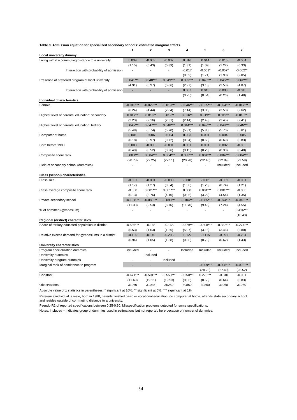|                                                     | 1              | $\mathbf{2}$             | 3              | 4                        | 5             | 6           | $\overline{\mathbf{r}}$ |
|-----------------------------------------------------|----------------|--------------------------|----------------|--------------------------|---------------|-------------|-------------------------|
| Local university dummy                              |                |                          |                |                          |               |             |                         |
| Living within a commuting distance to a university  | 0.009          | $-0.003$                 | $-0.007$       | 0.016                    | 0.014         | 0.015       | $-0.004$                |
|                                                     | (1.15)         | (0.43)                   | (0.89)         | (1.31)                   | (1.09)        | (1.22)      | (0.33)                  |
| Interaction with probability of admission           |                | $\overline{a}$           | $\blacksquare$ | $-0.017$                 | $-0.051*$     | $-0.057*$   | $-0.062**$              |
|                                                     |                |                          |                | (0.59)                   | (1.71)        | (1.90)      | (2.05)                  |
| Presence of preffered program at local university   | $0.041***$     | $0.048***$               | $0.049***$     | $0.039***$               | $0.040***$    | $0.045***$  | $0.062***$              |
|                                                     | (4.91)         | (5.97)                   | (5.86)         | (2.97)                   | (3.15)        | (3.53)      | (4.87)                  |
| Interaction with probability of admission           | ä,             | ÷.                       |                | 0.007                    | 0.016         | 0.008       | $-0.045$                |
|                                                     |                |                          |                | (0.25)                   | (0.54)        | (0.26)      | (1.48)                  |
| Individual characteristics                          |                |                          |                |                          |               |             |                         |
| Female                                              | $-0.040***$    | $-0.029***$              | $-0.019***$    | $-0.046***$              | $-0.025***$   | $-0.024***$ | $-0.017***$             |
|                                                     | (6.24)         | (4.44)                   | (2.84)         | (7.14)                   | (3.86)        | (3.58)      | (2.62)                  |
| Highest level of parental education: secondary      | $0.017**$      | $0.016**$                | $0.017**$      | $0.016**$                | $0.019**$     | $0.019**$   | $0.018**$               |
|                                                     | (2.23)         | (2.16)                   | (2.31)         | (2.14)                   | (2.43)        | (2.45)      | (2.41)                  |
| Highest level of parental education: tertiary       | $0.045***$     | $0.047***$               | $0.048***$     | $0.044***$               | $0.049***$    | $0.048***$  | $0.046***$              |
|                                                     | (5.48)         | (5.74)                   | (5.70)         | (5.31)                   | (5.80)        | (5.70)      | (5.61)                  |
| Computer at home                                    | 0.001          | 0.006                    | 0.004          | 0.003                    | 0.004         | 0.004       | 0.005                   |
|                                                     | (0.18)         | (0.97)                   | (0.72)         | (0.54)                   | (0.68)        | (0.69)      | (0.83)                  |
| Born before 1980                                    | 0.003          | $-0.003$                 | $-0.001$       | 0.001                    | 0.001         | 0.002       | $-0.003$                |
|                                                     | (0.49)         | (0.52)                   | (0.26)         | (0.15)                   | (0.20)        | (0.30)      | (0.48)                  |
| Composite score rank                                | $0.003***$     | $0.004***$               | $0.004***$     | $0.003***$               | $0.004***$    | $0.004***$  | $0.004***$              |
|                                                     | (20.78)        | (22.25)                  | (22.51)        | (20.28)                  | (22.46)       | (22.89)     | (23.59)                 |
| Field of secondary school (dummies)                 |                |                          |                | $\overline{\phantom{a}}$ | $\frac{1}{2}$ | Included    | Included                |
|                                                     |                |                          |                |                          |               |             |                         |
| Class (school) characteristics                      |                |                          |                |                          |               |             |                         |
| Class size                                          | $-0.001$       | $-0.001$                 | $-0.000$       | $-0.001$                 | $-0.001$      | $-0.001$    | $-0.001$                |
|                                                     | (1.17)         | (1.27)                   | (0.54)         | (1.30)                   | (1.26)        | (0.74)      | (1.21)                  |
| Class average composite score rank                  | $-0.000$       | $0.001***$               | $0.001***$     | 0.000                    | $0.001***$    | $0.001***$  | $-0.000$                |
|                                                     | (0.13)         | (3.76)                   | (4.10)         | (0.06)                   | (3.22)        | (4.54)      | (1.35)                  |
| Private secondary school                            | $-0.101***$    | $-0.083***$              | $-0.080***$    | $-0.104***$              | $-0.085***$   | $-0.074***$ | $-0.046***$             |
|                                                     | (11.38)        | (9.53)                   | (8.76)         | (11.70)                  | (9.45)        | (7.24)      | (4.55)                  |
| % of admitted (gymnasium)                           |                |                          |                |                          |               | ÷,          | $0.416***$              |
|                                                     |                |                          |                |                          |               |             | (16.43)                 |
| Regional (district) characteristics                 |                |                          |                |                          |               |             |                         |
| Share of tertiary educated population in district   | $-0.536***$    | $-0.165$                 | $-0.165$       | $-0.579***$              | $-0.308***$   | $-0.332***$ | $-0.274***$             |
|                                                     | (5.53)         | (1.63)                   | (1.56)         | (5.97)                   | (3.18)        | (3.46)      | (2.80)                  |
| Relative excess demand for gymnasiums in a district | $-0.135$       | $-0.149$                 | $-0.205$       | $-0.127$                 | $-0.115$      | $-0.091$    | $-0.204$                |
|                                                     | (0.94)         | (1.05)                   | (1.38)         | (0.88)                   | (0.78)        | (0.62)      | (1.43)                  |
| University characteristics                          |                |                          |                |                          |               |             |                         |
| Program specialization dummies                      | Included       |                          | ÷,             | Included                 | Included      | Included    | Included                |
| University dummies                                  | $\overline{a}$ | Included                 |                |                          |               |             |                         |
| University program dummies                          | L,             | $\overline{\phantom{a}}$ | Included       | $\overline{\phantom{a}}$ | ÷,            | Ĭ.          |                         |
| Marginal rank of admittance to program              | L,             | ×,                       |                | ÷,                       | $-0.009***$   | $-0.008***$ | $-0.008***$             |
|                                                     |                |                          |                |                          | (28.26)       | (27.40)     | (26.52)                 |
| Constant                                            | $-0.671***$    | $-0.501***$              | $-0.550***$    | $-0.250***$              | $0.275***$    | $-0.040$    | $-0.051$                |
|                                                     | (11.69)        | (19.11)                  | (19.93)        | (9.06)                   | (8.55)        | (0.64)      | (0.83)                  |
| Observations                                        | 31060          | 31048                    | 30259          | 30850                    | 30850         | 31060       | 31060                   |

#### **Table 9. Admission equation for specialized secondary schools: estimated marginal effects.**

Absolute value of z statistics in parentheses. \* significant at 10%; \*\* significant at 5%; \*\*\* significant at 1%

Reference individual is male, born in 1980, parents finished basic or vocational education, no computer at home, attends state secondary school and resides outside of commuting distance to a university.

Pseudo R2 of reported specifications between 0.25-0.30. Misspecification problems detected for some specifications.

Notes: Included – indicates group of dummies used in estimations but not reported here because of number of dummies.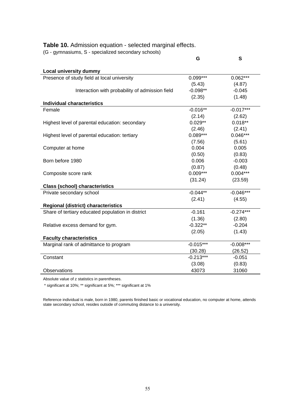#### **Table 10.** Admission equation - selected marginal effects.

(G - gymnasiums, S - specialized secondary schools)

|                                                   | G           | S           |
|---------------------------------------------------|-------------|-------------|
| <b>Local university dummy</b>                     |             |             |
| Presence of study field at local university       | 0.099***    | $0.062***$  |
|                                                   | (5.43)      | (4.87)      |
| Interaction with probability of admission field   | $-0.098**$  | $-0.045$    |
|                                                   | (2.35)      | (1.48)      |
| <b>Individual characteristics</b>                 |             |             |
| Female                                            | $-0.016**$  | $-0.017***$ |
|                                                   | (2.14)      | (2.62)      |
| Highest level of parental education: secondary    | $0.029**$   | $0.018**$   |
|                                                   | (2.46)      | (2.41)      |
| Highest level of parental education: tertiary     | $0.089***$  | $0.046***$  |
|                                                   | (7.56)      | (5.61)      |
| Computer at home                                  | 0.004       | 0.005       |
|                                                   | (0.50)      | (0.83)      |
| Born before 1980                                  | 0.006       | $-0.003$    |
|                                                   | (0.87)      | (0.48)      |
| Composite score rank                              | $0.009***$  | $0.004***$  |
|                                                   | (31.24)     | (23.59)     |
| <b>Class (school) characteristics</b>             |             |             |
| Private secondary school                          | $-0.044**$  | $-0.046***$ |
|                                                   | (2.41)      | (4.55)      |
| <b>Regional (district) characteristics</b>        |             |             |
| Share of tertiary educated population in district | $-0.161$    | $-0.274***$ |
|                                                   | (1.36)      | (2.80)      |
| Relative excess demand for gym.                   | $-0.322**$  | $-0.204$    |
|                                                   | (2.05)      | (1.43)      |
| <b>Faculty characteristics</b>                    |             |             |
| Marginal rank of admittance to program            | $-0.015***$ | $-0.008***$ |
|                                                   | (30.28)     | (26.52)     |
| Constant                                          | $-0.213***$ | $-0.051$    |
|                                                   | (3.08)      | (0.83)      |
| Observations                                      | 43073       | 31060       |

Absolute value of z statistics in parentheses.

\* significant at 10%; \*\* significant at 5%; \*\*\* significant at 1%

Reference individual is male, born in 1980, parents finished basic or vocational education, no computer at home, attends state secondary school, resides outside of commuting distance to a university.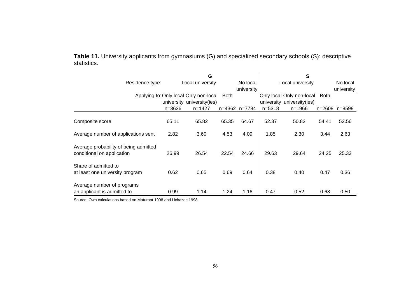|             | <b>Table 11.</b> University applicants from gymnasiums (G) and specialized secondary schools (S): descriptive |
|-------------|---------------------------------------------------------------------------------------------------------------|
| statistics. |                                                                                                               |

|                                                                     |                  | G                                      |             |               |                  | S                          |             |            |  |
|---------------------------------------------------------------------|------------------|----------------------------------------|-------------|---------------|------------------|----------------------------|-------------|------------|--|
| Residence type:                                                     | Local university |                                        |             | No local      | Local university |                            |             | No local   |  |
|                                                                     |                  |                                        |             | university    |                  |                            |             | university |  |
|                                                                     |                  | Applying to: Only local Only non-local | <b>Both</b> |               |                  | Only local Only non-local  | <b>Both</b> |            |  |
|                                                                     |                  | university university(ies)             |             |               |                  | university university(ies) |             |            |  |
|                                                                     | $n = 3636$       | $n = 1427$                             |             | n=4362 n=7784 | $n = 5318$       | $n = 1966$                 | $n = 2608$  | n=8599     |  |
| Composite score                                                     | 65.11            | 65.82                                  | 65.35       | 64.67         | 52.37            | 50.82                      | 54.41       | 52.56      |  |
| Average number of applications sent                                 | 2.82             | 3.60                                   | 4.53        | 4.09          | 1.85             | 2.30                       | 3.44        | 2.63       |  |
| Average probability of being admitted<br>conditional on application | 26.99            | 26.54                                  | 22.54       | 24.66         | 29.63            | 29.64                      | 24.25       | 25.33      |  |
| Share of admitted to<br>at least one university program             | 0.62             | 0.65                                   | 0.69        | 0.64          | 0.38             | 0.40                       | 0.47        | 0.36       |  |
| Average number of programs<br>an applicant is admitted to           | 0.99             | 1.14                                   | 1.24        | 1.16          | 0.47             | 0.52                       | 0.68        | 0.50       |  |

Source: Own calculations based on Maturant 1998 and Uchazec 1998.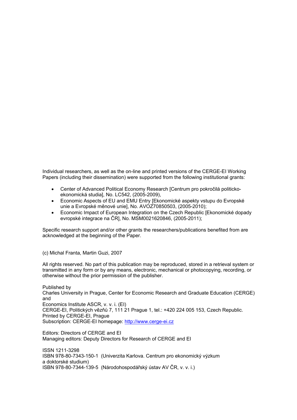Individual researchers, as well as the on-line and printed versions of the CERGE-EI Working Papers (including their dissemination) were supported from the following institutional grants:

- Center of Advanced Political Economy Research [Centrum pro pokročilá politickoekonomická studia], No. LC542, (2005-2009),
- Economic Aspects of EU and EMU Entry [Ekonomické aspekty vstupu do Evropské unie a Evropské měnové unie], No. AVOZ70850503, (2005-2010);
- Economic Impact of European Integration on the Czech Republic [Ekonomické dopady evropské integrace na ČR], No. MSM0021620846, (2005-2011);

Specific research support and/or other grants the researchers/publications benefited from are acknowledged at the beginning of the Paper.

(c) Michal Franta, Martin Guzi, 2007

All rights reserved. No part of this publication may be reproduced, stored in a retrieval system or transmitted in any form or by any means, electronic, mechanical or photocopying, recording, or otherwise without the prior permission of the publisher.

Published by Charles University in Prague, Center for Economic Research and Graduate Education (CERGE) and Economics Institute ASCR, v. v. i. (EI) CERGE-EI, Politických vězňů 7, 111 21 Prague 1, tel.: +420 224 005 153, Czech Republic. Printed by CERGE-EI, Prague Subscription: CERGE-EI homepage: http://www.cerge-ei.cz

Editors: Directors of CERGE and EI Managing editors: Deputy Directors for Research of CERGE and EI

ISSN 1211-3298 ISBN 978-80-7343-150-1 (Univerzita Karlova. Centrum pro ekonomický výzkum a doktorské studium) ISBN 978-80-7344-139-5 (Národohospodářský ústav AV ČR, v. v. i.)